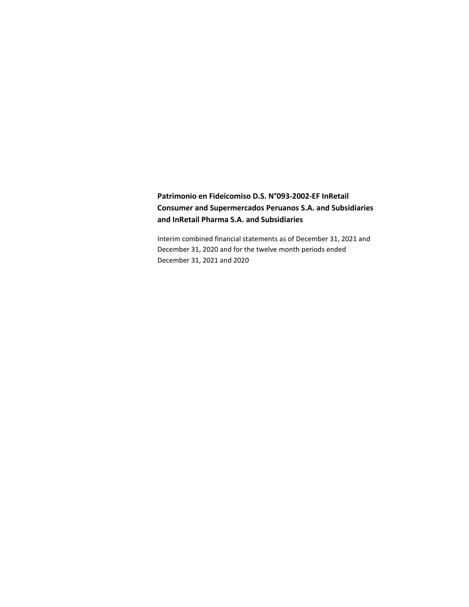# **Patrimonio en Fideicomiso D.S. N°093-2002-EF InRetail Consumer and Supermercados Peruanos S.A. and Subsidiaries and InRetail Pharma S.A. and Subsidiaries**

Interim combined financial statements as of December 31, 2021 and December 31, 2020 and for the twelve month periods ended December 31, 2021 and 2020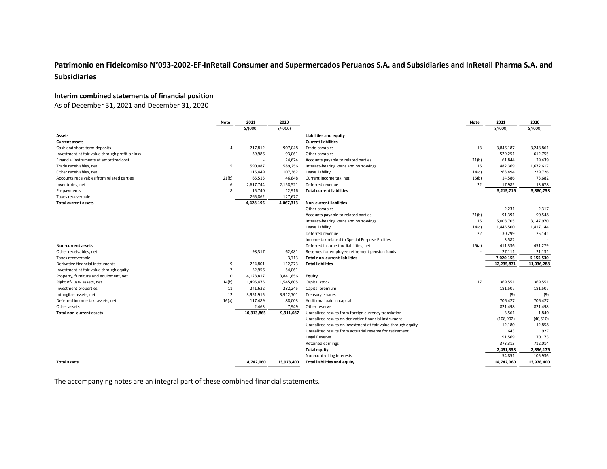# **Patrimonio en Fideicomiso N°093-2002-EF-InRetail Consumer and Supermercados Peruanos S.A. and Subsidiaries and InRetail Pharma S.A. and Subsidiaries**

## **Interim combined statements of financial position**

As of December 31, 2021 and December 31, 2020

|                                                 | Note           | 2021       | 2020       |                                                               | Note  | 2021       | 2020       |
|-------------------------------------------------|----------------|------------|------------|---------------------------------------------------------------|-------|------------|------------|
|                                                 |                | S/(000)    | S/(000)    |                                                               |       | S/(000)    | S/(000)    |
| Assets                                          |                |            |            | <b>Liabilities and equity</b>                                 |       |            |            |
| <b>Current assets</b>                           |                |            |            | <b>Current liabilities</b>                                    |       |            |            |
| Cash and short-term deposits                    | $\overline{4}$ | 717,812    | 907,048    | Trade payables                                                | 13    | 3,846,187  | 3,248,861  |
| Investment at fair value through profit or loss |                | 39,986     | 93,061     | Other payables                                                |       | 529,251    | 612,755    |
| Financial instruments at amortized cost         |                | ł,         | 24,624     | Accounts payable to related parties                           | 21(b) | 61,844     | 29,439     |
| Trade receivables, net                          | 5              | 590,087    | 589,256    | Interest-bearing loans and borrowings                         | 15    | 482,369    | 1,672,617  |
| Other receivables, net                          |                | 115,449    | 107,362    | Lease liability                                               | 14(c) | 263,494    | 229,726    |
| Accounts receivables from related parties       | 21(b)          | 65,515     | 46,848     | Current income tax, net                                       | 16(b) | 14,586     | 73,682     |
| Inventories, net                                | 6              | 2,617,744  | 2,158,521  | Deferred revenue                                              | 22    | 17,985     | 13,678     |
| Prepayments                                     | 8              | 15,740     | 12,916     | <b>Total current liabilities</b>                              |       | 5,215,716  | 5,880,758  |
| Taxes recoverable                               |                | 265,862    | 127,677    |                                                               |       |            |            |
| <b>Total current assets</b>                     |                | 4,428,195  | 4,067,313  | <b>Non-current liabilities</b>                                |       |            |            |
|                                                 |                |            |            | Other payables                                                |       | 2,231      | 2,317      |
|                                                 |                |            |            | Accounts payable to related parties                           | 21(b) | 91,391     | 90,548     |
|                                                 |                |            |            | Interest-bearing loans and borrowings                         | 15    | 5,008,705  | 3,147,970  |
|                                                 |                |            |            | Lease liability                                               | 14(c) | 1,445,500  | 1,417,144  |
|                                                 |                |            |            | Deferred revenue                                              | 22    | 30,299     | 25,141     |
|                                                 |                |            |            | Income tax related to Special Purpose Entities                |       | 3,582      |            |
| <b>Non-current assets</b>                       |                |            |            | Deferred income tax liabilities, net                          | 16(a) | 411,336    | 451,279    |
| Other receivables, net                          |                | 98,317     | 62,481     | Reserves for employee retirement pension funds                |       | 27,111     | 21,131     |
| Taxes recoverable                               |                | ٠          | 3,713      | <b>Total non-current liabilities</b>                          |       | 7,020,155  | 5,155,530  |
| Derivative financial instruments                | 9              | 224,801    | 112,273    | <b>Total liabilities</b>                                      |       | 12,235,871 | 11,036,288 |
| Investment at fair value through equity         | $\overline{7}$ | 52,956     | 54,061     |                                                               |       |            |            |
| Property, furniture and equipment, net          | 10             | 4,128,817  | 3,841,856  | Equity                                                        |       |            |            |
| Right of- use- assets, net                      | 14(b)          | 1,495,475  | 1,545,805  | Capital stock                                                 | 17    | 369,551    | 369,551    |
| Investment properties                           | 11             | 241,632    | 282,245    | Capital premium                                               |       | 181,507    | 181,507    |
| Intangible assets, net                          | 12             | 3,951,915  | 3,912,701  | Treasury shares                                               |       | (9)        | (9)        |
| Deferred income tax assets, net                 | 16(a)          | 117,489    | 88,003     | Additional paid in capital                                    |       | 706,427    | 706,427    |
| Other assets                                    |                | 2,463      | 7,949      | Other reserve                                                 |       | 821,498    | 821,498    |
| <b>Total non-current assets</b>                 |                | 10,313,865 | 9,911,087  | Unrealized results from foreign currency translation          |       | 3,561      | 1,840      |
|                                                 |                |            |            | Unrealized results on derivative financial instrument         |       | (108, 902) | (40, 610)  |
|                                                 |                |            |            | Unrealized results on investment at fair value through equity |       | 12,180     | 12,858     |
|                                                 |                |            |            | Unrealized results from actuarial reserve for retirement      |       | 643        | 927        |
|                                                 |                |            |            | Legal Reserve                                                 |       | 91,569     | 70,173     |
|                                                 |                |            |            | Retained earnings                                             |       | 373,313    | 712,014    |
|                                                 |                |            |            | <b>Total equity</b>                                           |       | 2,451,338  | 2,836,176  |
|                                                 |                |            |            | Non-controlling interests                                     |       | 54,851     | 105,936    |
| <b>Total assets</b>                             |                | 14,742,060 | 13,978,400 | <b>Total liabilities and equity</b>                           |       | 14,742,060 | 13,978,400 |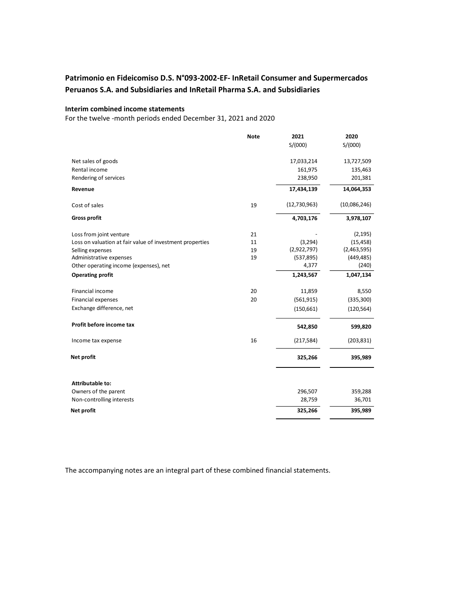# **Patrimonio en Fideicomiso D.S. N°093-2002-EF- InRetail Consumer and Supermercados Peruanos S.A. and Subsidiaries and InRetail Pharma S.A. and Subsidiaries**

### **Interim combined income statements**

For the twelve -month periods ended December 31, 2021 and 2020

|                                                          | <b>Note</b> | 2021         | 2020         |
|----------------------------------------------------------|-------------|--------------|--------------|
|                                                          |             | S/(000)      | S/(000)      |
| Net sales of goods                                       |             | 17,033,214   | 13,727,509   |
| Rental income                                            |             | 161,975      | 135,463      |
| Rendering of services                                    |             | 238,950      | 201,381      |
| Revenue                                                  |             | 17,434,139   | 14,064,353   |
| Cost of sales                                            | 19          | (12,730,963) | (10,086,246) |
| <b>Gross profit</b>                                      |             | 4,703,176    | 3,978,107    |
| Loss from joint venture                                  | 21          |              | (2, 195)     |
| Loss on valuation at fair value of investment properties | 11          | (3, 294)     | (15, 458)    |
| Selling expenses                                         | 19          | (2,922,797)  | (2,463,595)  |
| Administrative expenses                                  | 19          | (537,895)    | (449, 485)   |
| Other operating income (expenses), net                   |             | 4,377        | (240)        |
| <b>Operating profit</b>                                  |             | 1,243,567    | 1,047,134    |
| Financial income                                         | 20          | 11,859       | 8,550        |
| Financial expenses                                       | 20          | (561, 915)   | (335, 300)   |
| Exchange difference, net                                 |             | (150, 661)   | (120, 564)   |
| Profit before income tax                                 |             | 542,850      | 599,820      |
| Income tax expense                                       | 16          | (217,584)    | (203, 831)   |
| Net profit                                               |             | 325,266      | 395,989      |
| <b>Attributable to:</b>                                  |             |              |              |
| Owners of the parent                                     |             | 296,507      | 359,288      |
| Non-controlling interests                                |             | 28,759       | 36,701       |
| Net profit                                               |             | 325,266      | 395,989      |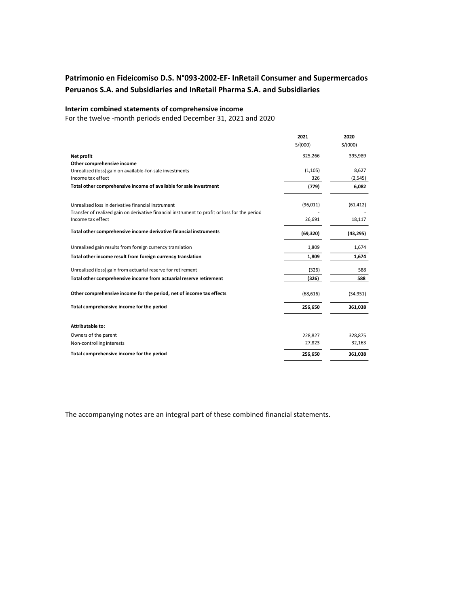# **Patrimonio en Fideicomiso D.S. N°093-2002-EF- InRetail Consumer and Supermercados Peruanos S.A. and Subsidiaries and InRetail Pharma S.A. and Subsidiaries**

## **Interim combined statements of comprehensive income**

For the twelve -month periods ended December 31, 2021 and 2020

|                                                                                               | 2021      | 2020      |
|-----------------------------------------------------------------------------------------------|-----------|-----------|
|                                                                                               | S/(000)   | S/(000)   |
| Net profit                                                                                    | 325,266   | 395,989   |
| Other comprehensive income                                                                    |           |           |
| Unrealized (loss) gain on available-for-sale investments                                      | (1, 105)  | 8,627     |
| Income tax effect                                                                             | 326       | (2, 545)  |
| Total other comprehensive income of available for sale investment                             | (779)     | 6,082     |
| Unrealized loss in derivative financial instrument                                            | (96, 011) | (61, 412) |
| Transfer of realized gain on derivative financial instrument to profit or loss for the period |           |           |
| Income tax effect                                                                             | 26,691    | 18,117    |
| Total other comprehensive income derivative financial instruments                             | (69, 320) | (43, 295) |
| Unrealized gain results from foreign currency translation                                     | 1,809     | 1,674     |
| Total other income result from foreign currency translation                                   | 1,809     | 1,674     |
| Unrealized (loss) gain from actuarial reserve for retirement                                  | (326)     | 588       |
| Total other comprehensive income from actuarial reserve retirement                            | (326)     | 588       |
| Other comprehensive income for the period, net of income tax effects                          | (68, 616) | (34, 951) |
| Total comprehensive income for the period                                                     | 256,650   | 361,038   |
| <b>Attributable to:</b>                                                                       |           |           |
| Owners of the parent                                                                          | 228,827   | 328,875   |
| Non-controlling interests                                                                     | 27,823    | 32,163    |
| Total comprehensive income for the period                                                     | 256,650   | 361,038   |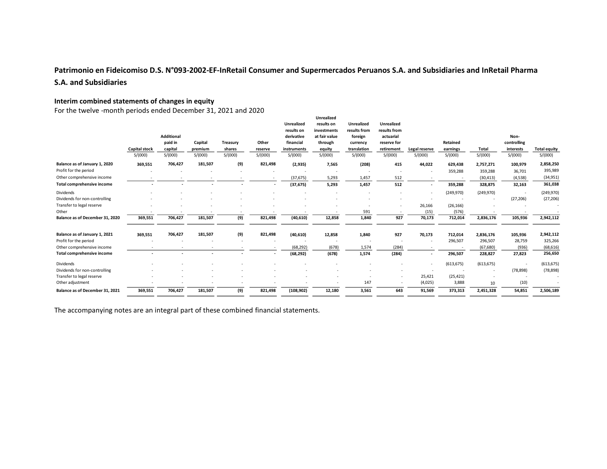# **Patrimonio en Fideicomiso D.S. N°093-2002-EF-InRetail Consumer and Supermercados Peruanos S.A. and Subsidiaries and InRetail Pharma S.A. and Subsidiaries**

## **Interim combined statements of changes in equity**

For the twelve -month periods ended December 31, 2021 and 2020

|                                 |                          |                   |         |          |                          | <b>Unrealized</b> | Unrealized<br>results on | <b>Unrealized</b> | <b>Unrealized</b> |               |            |            |             |                     |
|---------------------------------|--------------------------|-------------------|---------|----------|--------------------------|-------------------|--------------------------|-------------------|-------------------|---------------|------------|------------|-------------|---------------------|
|                                 |                          |                   |         |          |                          | results on        | investments              | results from      | results from      |               |            |            |             |                     |
|                                 |                          | <b>Additional</b> |         |          |                          | derivative        | at fair value            | foreign           | actuarial         |               |            |            | Non-        |                     |
|                                 |                          | paid in           | Capital | Treasury | Other                    | financial         | through                  | currency          | reserve for       |               | Retained   |            | controlling |                     |
|                                 | <b>Capital stock</b>     | capital           | premium | shares   | reserve                  | instruments       | equity                   | translation       | retirement        | Legal reserve | earnings   | Total      | interests   | <b>Total equity</b> |
|                                 | S/(000)                  | S/(000)           | S/(000) | S/(000)  | S/(000)                  | S/(000)           | S/(000)                  | S/(000)           | S/(000)           | S/(000)       | S/(000)    | S/(000)    | S/(000)     | S/(000)             |
| Balance as of January 1, 2020   | 369,551                  | 706,427           | 181,507 | (9)      | 821,498                  | (2, 935)          | 7,565                    | (208)             | 415               | 44,022        | 629,438    | 2,757,271  | 100,979     | 2,858,250           |
| Profit for the period           |                          |                   |         |          |                          |                   |                          |                   |                   |               | 359,288    | 359,288    | 36,701      | 395,989             |
| Other comprehensive income      |                          |                   |         |          | $\sim$                   | (37, 675)         | 5,293                    | 1,457             | 512               |               |            | (30, 413)  | (4,538)     | (34,951)            |
| Total comprehensive income      |                          |                   |         |          | $\overline{\phantom{a}}$ | (37, 675)         | 5,293                    | 1,457             | 512               |               | 359,288    | 328,875    | 32,163      | 361,038             |
| Dividends                       |                          |                   |         |          |                          |                   |                          |                   |                   |               | (249,970)  | (249, 970) |             | (249, 970)          |
| Dividends for non-controlling   |                          |                   |         |          |                          |                   |                          |                   |                   |               |            |            | (27, 206)   | (27, 206)           |
| Transfer to legal reserve       |                          |                   |         |          |                          |                   |                          |                   |                   | 26,166        | (26, 166)  |            |             |                     |
| Other                           |                          |                   |         |          |                          |                   |                          | 591               |                   | (15)          | (576)      |            |             |                     |
| Balance as of December 31, 2020 | 369,551                  | 706,427           | 181,507 | (9)      | 821,498                  | (40, 610)         | 12,858                   | 1,840             | 927               | 70,173        | 712,014    | 2,836,176  | 105,936     | 2,942,112           |
| Balance as of January 1, 2021   | 369,551                  | 706,427           | 181,507 | (9)      | 821,498                  | (40, 610)         | 12,858                   | 1,840             | 927               | 70,173        | 712,014    | 2,836,176  | 105,936     | 2,942,112           |
| Profit for the period           |                          |                   |         |          |                          |                   |                          |                   |                   |               | 296,507    | 296,507    | 28,759      | 325,266             |
| Other comprehensive income      |                          |                   |         |          |                          | (68, 292)         | (678)                    | 1,574             | (284)             |               |            | (67, 680)  | (936)       | (68, 616)           |
| Total comprehensive income      | $\overline{\phantom{a}}$ | ٠                 | ٠       |          | $\overline{\phantom{a}}$ | (68, 292)         | (678)                    | 1,574             | (284)             |               | 296,507    | 228,827    | 27,823      | 256,650             |
| Dividends                       |                          |                   |         |          |                          |                   |                          |                   |                   |               | (613, 675) | (613, 675) |             | (613, 675)          |
| Dividends for non-controlling   |                          |                   |         |          |                          |                   |                          |                   |                   |               |            |            | (78, 898)   | (78, 898)           |
| Transfer to legal reserve       |                          |                   |         |          |                          |                   |                          |                   |                   | 25,421        | (25, 421)  |            |             |                     |
| Other adjustment                |                          |                   |         |          |                          |                   |                          | 147               |                   | (4,025)       | 3,888      | 10         | (10)        |                     |
| Balance as of December 31, 2021 | 369,551                  | 706,427           | 181,507 | (9)      | 821,498                  | (108, 902)        | 12,180                   | 3,561             | 643               | 91,569        | 373,313    | 2,451,328  | 54,851      | 2,506,189           |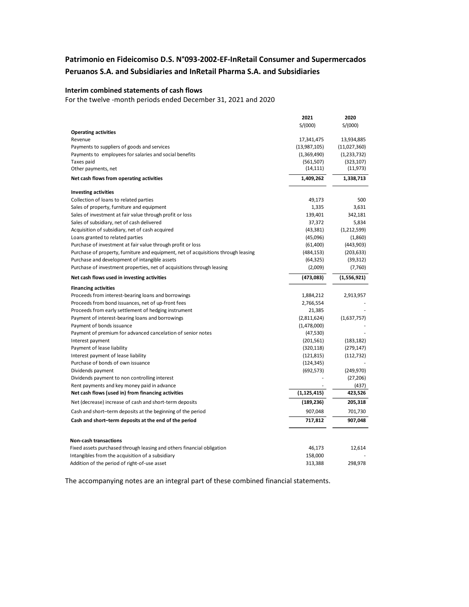# **Patrimonio en Fideicomiso D.S. N°093-2002-EF-InRetail Consumer and Supermercados Peruanos S.A. and Subsidiaries and InRetail Pharma S.A. and Subsidiaries**

## **Interim combined statements of cash flows**

For the twelve -month periods ended December 31, 2021 and 2020

|                                                                                    | 2021          | 2020          |
|------------------------------------------------------------------------------------|---------------|---------------|
|                                                                                    | S/(000)       | S/(000)       |
| <b>Operating activities</b>                                                        |               |               |
| Revenue                                                                            | 17,341,475    | 13,934,885    |
| Payments to suppliers of goods and services                                        | (13,987,105)  | (11,027,360)  |
| Payments to employees for salaries and social benefits                             | (1,369,490)   | (1, 233, 732) |
| Taxes paid                                                                         | (561, 507)    | (323, 107)    |
| Other payments, net                                                                | (14, 111)     | (11, 973)     |
| Net cash flows from operating activities                                           | 1,409,262     | 1,338,713     |
| <b>Investing activities</b>                                                        |               |               |
| Collection of loans to related parties                                             | 49,173        | 500           |
| Sales of property, furniture and equipment                                         | 1,335         | 3,631         |
| Sales of investment at fair value through profit or loss                           | 139,401       | 342,181       |
| Sales of subsidiary, net of cash delivered                                         | 37,372        | 5,834         |
| Acquisition of subsidiary, net of cash acquired                                    | (43, 381)     | (1,212,599)   |
| Loans granted to related parties                                                   | (45,096)      | (1,860)       |
| Purchase of investment at fair value through profit or loss                        | (61, 400)     | (443,903)     |
| Purchase of property, furniture and equipment, net of acquisitions through leasing | (484, 153)    | (203, 633)    |
| Purchase and development of intangible assets                                      | (64, 325)     | (39, 312)     |
| Purchase of investment properties, net of acquisitions through leasing             | (2,009)       | (7,760)       |
| Net cash flows used in investing activities                                        | (473,083)     | (1,556,921)   |
| <b>Financing activities</b>                                                        |               |               |
| Proceeds from interest-bearing loans and borrowings                                | 1,884,212     | 2,913,957     |
| Proceeds from bond issuances, net of up-front fees                                 | 2,766,554     |               |
| Proceeds from early settlement of hedging instrument                               | 21,385        |               |
| Payment of interest-bearing loans and borrowings                                   | (2,811,624)   | (1,637,757)   |
| Payment of bonds issuance                                                          | (1,478,000)   |               |
| Payment of premium for advanced cancelation of senior notes                        | (47, 530)     |               |
| Interest payment                                                                   | (201, 561)    | (183, 182)    |
| Payment of lease liability                                                         | (320, 118)    | (279, 147)    |
| Interest payment of lease liability                                                | (121, 815)    | (112, 732)    |
| Purchase of bonds of own issuance                                                  | (124, 345)    |               |
| Dividends payment                                                                  | (692, 573)    | (249, 970)    |
| Dividends payment to non controlling interest                                      |               | (27, 206)     |
| Rent payments and key money paid in advance                                        |               | (437)         |
| Net cash flows (used in) from financing activities                                 | (1, 125, 415) | 423,526       |
| Net (decrease) increase of cash and short-term deposits                            | (189, 236)    | 205,318       |
| Cash and short-term deposits at the beginning of the period                        | 907,048       | 701,730       |
| Cash and short-term deposits at the end of the period                              | 717,812       | 907,048       |
| <b>Non-cash transactions</b>                                                       |               |               |
| Fixed assets purchased through leasing and others financial obligation             | 46,173        | 12,614        |
| Intangibles from the acquisition of a subsidiary                                   | 158,000       |               |
| Addition of the period of right-of-use asset                                       | 313,388       | 298,978       |
|                                                                                    |               |               |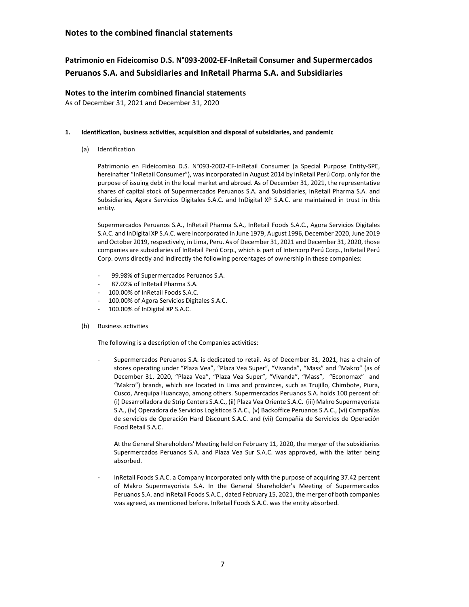# **Patrimonio en Fideicomiso D.S. N°093-2002-EF-InRetail Consumer and Supermercados Peruanos S.A. and Subsidiaries and InRetail Pharma S.A. and Subsidiaries**

## **Notes to the interim combined financial statements**

As of December 31, 2021 and December 31, 2020

#### **1. Identification, business activities, acquisition and disposal of subsidiaries, and pandemic**

(a) Identification

Patrimonio en Fideicomiso D.S. N°093-2002-EF-InRetail Consumer (a Special Purpose Entity-SPE, hereinafter "InRetail Consumer"), was incorporated in August 2014 by InRetail Perú Corp. only for the purpose of issuing debt in the local market and abroad. As of December 31, 2021, the representative shares of capital stock of Supermercados Peruanos S.A. and Subsidiaries, InRetail Pharma S.A. and Subsidiaries, Agora Servicios Digitales S.A.C. and InDigital XP S.A.C. are maintained in trust in this entity.

Supermercados Peruanos S.A., InRetail Pharma S.A., InRetail Foods S.A.C., Agora Servicios Digitales S.A.C. and InDigital XP S.A.C. were incorporated in June 1979, August 1996, December 2020, June 2019 and October 2019, respectively, in Lima, Peru. As of December 31, 2021 and December 31, 2020, those companies are subsidiaries of InRetail Perú Corp., which is part of Intercorp Perú Corp., InRetail Perú Corp. owns directly and indirectly the following percentages of ownership in these companies:

- 99.98% of Supermercados Peruanos S.A.
- 87.02% of InRetail Pharma S.A.
- 100.00% of InRetail Foods S.A.C.
- 100.00% of Agora Servicios Digitales S.A.C.
- 100.00% of InDigital XP S.A.C.
- (b) Business activities

The following is a description of the Companies activities:

Supermercados Peruanos S.A. is dedicated to retail. As of December 31, 2021, has a chain of stores operating under "Plaza Vea", "Plaza Vea Super", "Vivanda", "Mass" and "Makro" (as of December 31, 2020, "Plaza Vea", "Plaza Vea Super", "Vivanda", "Mass", "Economax" and "Makro") brands, which are located in Lima and provinces, such as Trujillo, Chimbote, Piura, Cusco, Arequipa Huancayo, among others. Supermercados Peruanos S.A. holds 100 percent of: (i) Desarrolladora de Strip Centers S.A.C., (ii) Plaza Vea Oriente S.A.C. (iii) Makro Supermayorista S.A., (iv) Operadora de Servicios Logísticos S.A.C., (v) Backoffice Peruanos S.A.C., (vi) Compañías de servicios de Operación Hard Discount S.A.C. and (vii) Compañía de Servicios de Operación Food Retail S.A.C.

At the General Shareholders' Meeting held on February 11, 2020, the merger of the subsidiaries Supermercados Peruanos S.A. and Plaza Vea Sur S.A.C. was approved, with the latter being absorbed.

- InRetail Foods S.A.C. a Company incorporated only with the purpose of acquiring 37.42 percent of Makro Supermayorista S.A. In the General Shareholder's Meeting of Supermercados Peruanos S.A. and InRetail Foods S.A.C., dated February 15, 2021, the merger of both companies was agreed, as mentioned before. InRetail Foods S.A.C. was the entity absorbed.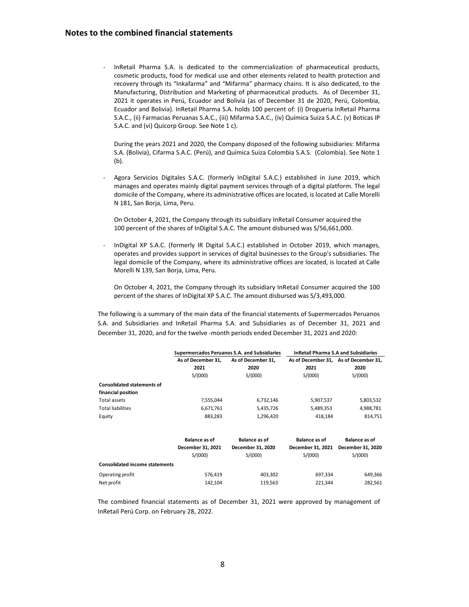- InRetail Pharma S.A. is dedicated to the commercialization of pharmaceutical products, cosmetic products, food for medical use and other elements related to health protection and recovery through its "Inkafarma" and "Mifarma" pharmacy chains. It is also dedicated, to the Manufacturing, Distribution and Marketing of pharmaceutical products. As of December 31, 2021 it operates in Perú, Ecuador and Bolivia (as of December 31 de 2020, Perú, Colombia, Ecuador and Bolivia). InRetail Pharma S.A. holds 100 percent of: (i) Drogueria InRetail Pharma S.A.C., (ii) Farmacias Peruanas S.A.C., (iii) Mifarma S.A.C., (iv) Química Suiza S.A.C. (v) Boticas IP S.A.C. and (vi) Quicorp Group. See Note 1 c).

During the years 2021 and 2020, the Company disposed of the following subsidiaries: Mifarma S.A. (Bolivia), Cifarma S.A.C. (Perú), and Química Suiza Colombia S.A.S. (Colombia). See Note 1 (b).

Agora Servicios Digitales S.A.C. (formerly InDigital S.A.C.) established in June 2019, which manages and operates mainly digital payment services through of a digital platform. The legal domicile of the Company, where its administrative offices are located, is located at Calle Morelli N 181, San Borja, Lima, Peru.

On October 4, 2021, the Company through its subsidiary InRetail Consumer acquired the 100 percent of the shares of InDigital S.A.C. The amount disbursed was S/56,661,000.

- InDigital XP S.A.C. (formerly IR Digital S.A.C.) established in October 2019, which manages, operates and provides support in services of digital businesses to the Group's subsidiaries. The legal domicile of the Company, where its administrative offices are located, is located at Calle Morelli N 139, San Borja, Lima, Peru.

On October 4, 2021, the Company through its subsidiary InRetail Consumer acquired the 100 percent of the shares of InDigital XP S.A.C. The amount disbursed was S/3,493,000.

The following is a summary of the main data of the financial statements of Supermercados Peruanos S.A. and Subsidiaries and InRetail Pharma S.A. and Subsidiaries as of December 31, 2021 and December 31, 2020, and for the twelve -month periods ended December 31, 2021 and 2020:

|                                       |                      | Supermercados Peruanos S.A. and Subsidiaries | <b>InRetail Pharma S.A and Subsidiaries</b> |                                       |  |  |
|---------------------------------------|----------------------|----------------------------------------------|---------------------------------------------|---------------------------------------|--|--|
|                                       | As of December 31,   | As of December 31,                           |                                             | As of December 31, As of December 31, |  |  |
|                                       | 2021                 | 2020                                         | 2021                                        | 2020                                  |  |  |
|                                       | S/(000)              | S/(000)                                      | S/(000)                                     | S/(000)                               |  |  |
| <b>Consolidated statements of</b>     |                      |                                              |                                             |                                       |  |  |
| financial position                    |                      |                                              |                                             |                                       |  |  |
| Total assets                          | 7,555,044            | 6,732,146                                    | 5,907,537                                   | 5,803,532                             |  |  |
| <b>Total liabilities</b>              | 6,671,761            | 5,435,726                                    | 5,489,353                                   | 4,988,781                             |  |  |
| Equity                                | 883,283              | 1,296,420                                    | 418,184                                     | 814,751                               |  |  |
|                                       | <b>Balance as of</b> | <b>Balance as of</b>                         | <b>Balance as of</b>                        | <b>Balance as of</b>                  |  |  |
|                                       | December 31, 2021    | December 31, 2020                            | December 31, 2021                           | December 31, 2020                     |  |  |
|                                       | S/(000)              | S/(000)                                      | S/(000)                                     | S/(000)                               |  |  |
| <b>Consolidated income statements</b> |                      |                                              |                                             |                                       |  |  |
| Operating profit                      | 576,419              | 403,302                                      | 697,334                                     | 649,366                               |  |  |
| Net profit                            | 142,104              | 119,563                                      | 221,344                                     | 282,561                               |  |  |

The combined financial statements as of December 31, 2021 were approved by management of InRetail Perú Corp. on February 28, 2022.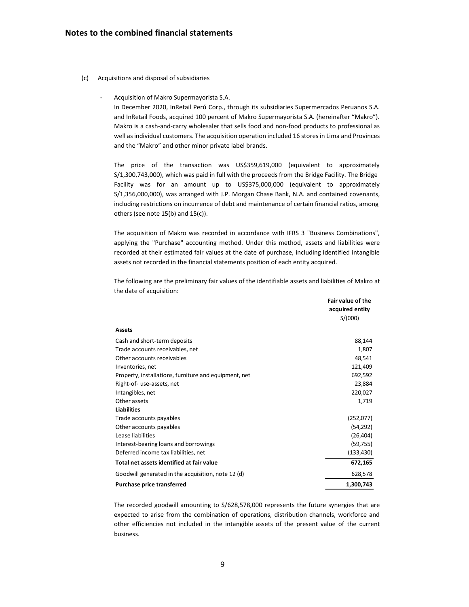- (c) Acquisitions and disposal of subsidiaries
	- Acquisition of Makro Supermayorista S.A.

In December 2020, InRetail Perú Corp., through its subsidiaries Supermercados Peruanos S.A. and InRetail Foods, acquired 100 percent of Makro Supermayorista S.A. (hereinafter "Makro"). Makro is a cash-and-carry wholesaler that sells food and non-food products to professional as well as individual customers. The acquisition operation included 16 stores in Lima and Provinces and the "Makro" and other minor private label brands.

The price of the transaction was US\$359,619,000 (equivalent to approximately S/1,300,743,000), which was paid in full with the proceeds from the Bridge Facility. The Bridge Facility was for an amount up to US\$375,000,000 (equivalent to approximately S/1,356,000,000), was arranged with J.P. Morgan Chase Bank, N.A. and contained covenants, including restrictions on incurrence of debt and maintenance of certain financial ratios, among others (see note 15(b) and 15(c)).

The acquisition of Makro was recorded in accordance with IFRS 3 "Business Combinations", applying the "Purchase" accounting method. Under this method, assets and liabilities were recorded at their estimated fair values at the date of purchase, including identified intangible assets not recorded in the financial statements position of each entity acquired.

The following are the preliminary fair values of the identifiable assets and liabilities of Makro at the date of acquisition:

|                                                       | <b>Fair value of the</b> |
|-------------------------------------------------------|--------------------------|
|                                                       | acquired entity          |
|                                                       | S/(000)                  |
| <b>Assets</b>                                         |                          |
| Cash and short-term deposits                          | 88,144                   |
| Trade accounts receivables, net                       | 1,807                    |
| Other accounts receivables                            | 48,541                   |
| Inventories, net                                      | 121,409                  |
| Property, installations, furniture and equipment, net | 692,592                  |
| Right-of- use-assets, net                             | 23,884                   |
| Intangibles, net                                      | 220,027                  |
| Other assets                                          | 1,719                    |
| <b>Liabilities</b>                                    |                          |
| Trade accounts payables                               | (252,077)                |
| Other accounts payables                               | (54, 292)                |
| Lease liabilities                                     | (26, 404)                |
| Interest-bearing loans and borrowings                 | (59, 755)                |
| Deferred income tax liabilities, net                  | (133, 430)               |
| Total net assets identified at fair value             | 672,165                  |
| Goodwill generated in the acquisition, note 12 (d)    | 628,578                  |
| <b>Purchase price transferred</b>                     | 1,300,743                |

The recorded goodwill amounting to S/628,578,000 represents the future synergies that are expected to arise from the combination of operations, distribution channels, workforce and other efficiencies not included in the intangible assets of the present value of the current business.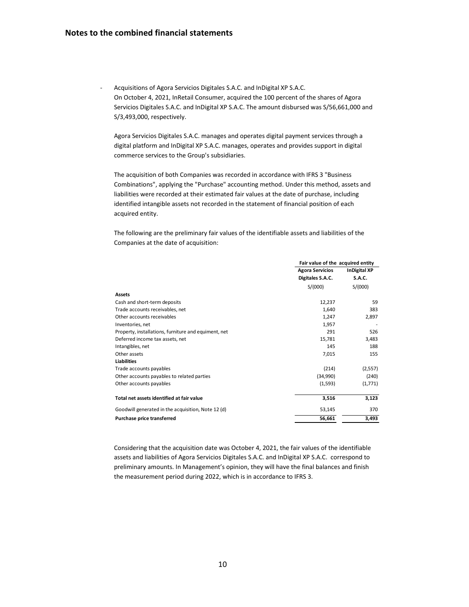Acquisitions of Agora Servicios Digitales S.A.C. and InDigital XP S.A.C. On October 4, 2021, InRetail Consumer, acquired the 100 percent of the shares of Agora Servicios Digitales S.A.C. and InDigital XP S.A.C. The amount disbursed was S/56,661,000 and S/3,493,000, respectively.

Agora Servicios Digitales S.A.C. manages and operates digital payment services through a digital platform and InDigital XP S.A.C. manages, operates and provides support in digital commerce services to the Group's subsidiaries.

The acquisition of both Companies was recorded in accordance with IFRS 3 "Business Combinations", applying the "Purchase" accounting method. Under this method, assets and liabilities were recorded at their estimated fair values at the date of purchase, including identified intangible assets not recorded in the statement of financial position of each acquired entity.

The following are the preliminary fair values of the identifiable assets and liabilities of the Companies at the date of acquisition:

|                                                      | Fair value of the acquired entity             |         |  |  |
|------------------------------------------------------|-----------------------------------------------|---------|--|--|
|                                                      | <b>Agora Servicios</b><br><b>InDigital XP</b> |         |  |  |
|                                                      | Digitales S.A.C.                              | S.A.C.  |  |  |
|                                                      | S/(000)                                       | S/(000) |  |  |
| <b>Assets</b>                                        |                                               |         |  |  |
| Cash and short-term deposits                         | 12,237                                        | 59      |  |  |
| Trade accounts receivables, net                      | 1,640                                         | 383     |  |  |
| Other accounts receivables                           | 1,247                                         | 2,897   |  |  |
| Inventories, net                                     | 1,957                                         |         |  |  |
| Property, installations, furniture and equiment, net | 291                                           | 526     |  |  |
| Deferred income tax assets, net                      | 15,781                                        | 3,483   |  |  |
| Intangibles, net                                     | 145                                           | 188     |  |  |
| Other assets                                         | 7,015                                         | 155     |  |  |
| <b>Liabilities</b>                                   |                                               |         |  |  |
| Trade accounts payables                              | (214)                                         | (2,557) |  |  |
| Other accounts payables to related parties           | (34,990)                                      | (240)   |  |  |
| Other accounts payables                              | (1,593)                                       | (1,771) |  |  |
| Total net assets identified at fair value            | 3,516                                         | 3,123   |  |  |
| Goodwill generated in the acquisition, Note 12 (d)   | 53,145                                        | 370     |  |  |
| Purchase price transferred                           | 56,661                                        | 3,493   |  |  |

Considering that the acquisition date was October 4, 2021, the fair values of the identifiable assets and liabilities of Agora Servicios Digitales S.A.C. and InDigital XP S.A.C. correspond to preliminary amounts. In Management's opinion, they will have the final balances and finish the measurement period during 2022, which is in accordance to IFRS 3.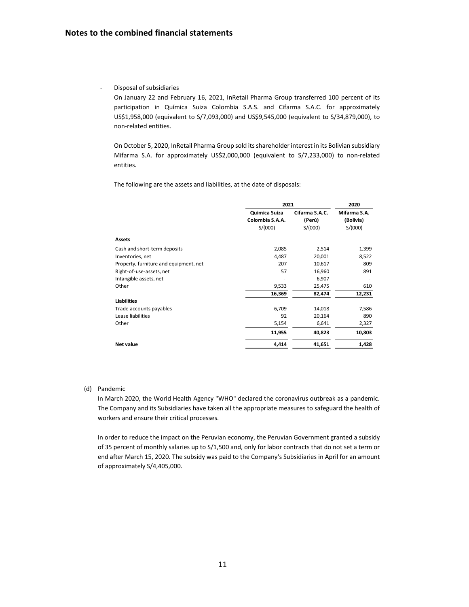#### - Disposal of subsidiaries

On January 22 and February 16, 2021, InRetail Pharma Group transferred 100 percent of its participation in Química Suiza Colombia S.A.S. and Cifarma S.A.C. for approximately US\$1,958,000 (equivalent to S/7,093,000) and US\$9,545,000 (equivalent to S/34,879,000), to non-related entities.

On October 5, 2020, InRetail Pharma Group sold itsshareholder interest in its Bolivian subsidiary Mifarma S.A. for approximately US\$2,000,000 (equivalent to S/7,233,000) to non-related entities.

The following are the assets and liabilities, at the date of disposals:

|                                        | 2021            | 2020           |              |
|----------------------------------------|-----------------|----------------|--------------|
|                                        | Quimica Suiza   | Cifarma S.A.C. | Mifarma S.A. |
|                                        | Colombia S.A.A. | (Perú)         | (Bolivia)    |
|                                        | S/(000)         | S/(000)        | S/(000)      |
| <b>Assets</b>                          |                 |                |              |
| Cash and short-term deposits           | 2,085           | 2,514          | 1,399        |
| Inventories, net                       | 4,487           | 20,001         | 8,522        |
| Property, furniture and equipment, net | 207             | 10,617         | 809          |
| Right-of-use-assets, net               | 57              | 16,960         | 891          |
| Intangible assets, net                 |                 | 6,907          |              |
| Other                                  | 9,533           | 25,475         | 610          |
|                                        | 16,369          | 82,474         | 12,231       |
| <b>Liabilities</b>                     |                 |                |              |
| Trade accounts payables                | 6,709           | 14,018         | 7,586        |
| Lease liabilities                      | 92              | 20,164         | 890          |
| Other                                  | 5,154           | 6,641          | 2,327        |
|                                        | 11,955          | 40,823         | 10,803       |
| Net value                              | 4,414           | 41,651         | 1,428        |

#### (d) Pandemic

In March 2020, the World Health Agency "WHO" declared the coronavirus outbreak as a pandemic. The Company and its Subsidiaries have taken all the appropriate measures to safeguard the health of workers and ensure their critical processes.

In order to reduce the impact on the Peruvian economy, the Peruvian Government granted a subsidy of 35 percent of monthly salaries up to S/1,500 and, only for labor contracts that do not set a term or end after March 15, 2020. The subsidy was paid to the Company's Subsidiaries in April for an amount of approximately S/4,405,000.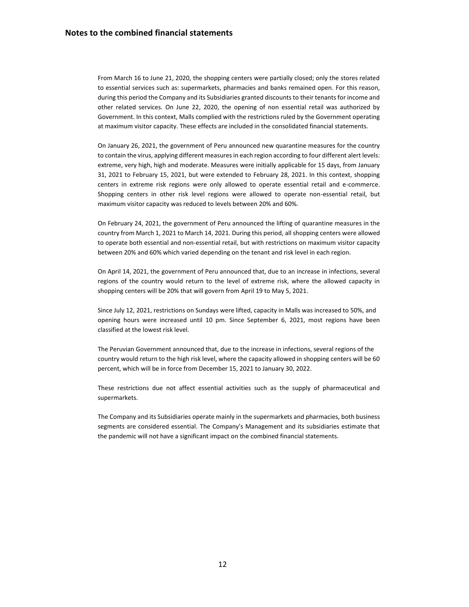From March 16 to June 21, 2020, the shopping centers were partially closed; only the stores related to essential services such as: supermarkets, pharmacies and banks remained open. For this reason, during this period the Company and its Subsidiaries granted discounts to their tenants for income and other related services. On June 22, 2020, the opening of non essential retail was authorized by Government. In this context, Malls complied with the restrictions ruled by the Government operating at maximum visitor capacity. These effects are included in the consolidated financial statements.

On January 26, 2021, the government of Peru announced new quarantine measures for the country to contain the virus, applying different measures in each region according to four different alert levels: extreme, very high, high and moderate. Measures were initially applicable for 15 days, from January 31, 2021 to February 15, 2021, but were extended to February 28, 2021. In this context, shopping centers in extreme risk regions were only allowed to operate essential retail and e-commerce. Shopping centers in other risk level regions were allowed to operate non-essential retail, but maximum visitor capacity was reduced to levels between 20% and 60%.

On February 24, 2021, the government of Peru announced the lifting of quarantine measures in the country from March 1, 2021 to March 14, 2021. During this period, all shopping centers were allowed to operate both essential and non-essential retail, but with restrictions on maximum visitor capacity between 20% and 60% which varied depending on the tenant and risk level in each region.

On April 14, 2021, the government of Peru announced that, due to an increase in infections, several regions of the country would return to the level of extreme risk, where the allowed capacity in shopping centers will be 20% that will govern from April 19 to May 5, 2021.

Since July 12, 2021, restrictions on Sundays were lifted, capacity in Malls was increased to 50%, and opening hours were increased until 10 pm. Since September 6, 2021, most regions have been classified at the lowest risk level.

The Peruvian Government announced that, due to the increase in infections, several regions of the country would return to the high risk level, where the capacity allowed in shopping centers will be 60 percent, which will be in force from December 15, 2021 to January 30, 2022.

These restrictions due not affect essential activities such as the supply of pharmaceutical and supermarkets.

The Company and its Subsidiaries operate mainly in the supermarkets and pharmacies, both business segments are considered essential. The Company's Management and its subsidiaries estimate that the pandemic will not have a significant impact on the combined financial statements.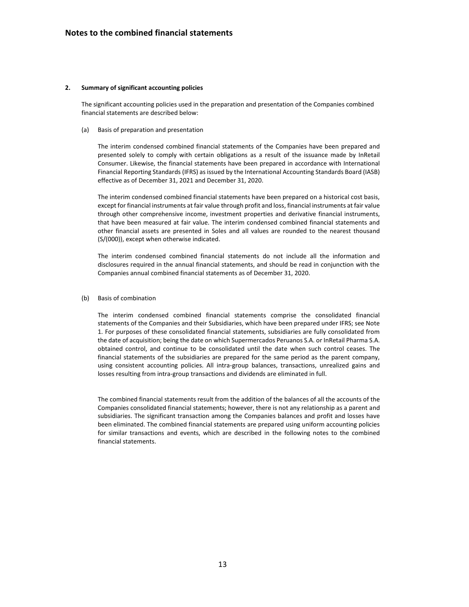#### **2. Summary of significant accounting policies**

The significant accounting policies used in the preparation and presentation of the Companies combined financial statements are described below:

#### (a) Basis of preparation and presentation

The interim condensed combined financial statements of the Companies have been prepared and presented solely to comply with certain obligations as a result of the issuance made by InRetail Consumer. Likewise, the financial statements have been prepared in accordance with International Financial Reporting Standards (IFRS) as issued by the International Accounting Standards Board (IASB) effective as of December 31, 2021 and December 31, 2020.

The interim condensed combined financial statements have been prepared on a historical cost basis, except for financial instruments at fair value through profit and loss, financial instruments at fair value through other comprehensive income, investment properties and derivative financial instruments, that have been measured at fair value. The interim condensed combined financial statements and other financial assets are presented in Soles and all values are rounded to the nearest thousand (S/(000)), except when otherwise indicated.

The interim condensed combined financial statements do not include all the information and disclosures required in the annual financial statements, and should be read in conjunction with the Companies annual combined financial statements as of December 31, 2020.

#### (b) Basis of combination

The interim condensed combined financial statements comprise the consolidated financial statements of the Companies and their Subsidiaries, which have been prepared under IFRS; see Note 1. For purposes of these consolidated financial statements, subsidiaries are fully consolidated from the date of acquisition; being the date on which Supermercados Peruanos S.A. or InRetail Pharma S.A. obtained control, and continue to be consolidated until the date when such control ceases. The financial statements of the subsidiaries are prepared for the same period as the parent company, using consistent accounting policies. All intra-group balances, transactions, unrealized gains and losses resulting from intra-group transactions and dividends are eliminated in full.

The combined financial statements result from the addition of the balances of all the accounts of the Companies consolidated financial statements; however, there is not any relationship as a parent and subsidiaries. The significant transaction among the Companies balances and profit and losses have been eliminated. The combined financial statements are prepared using uniform accounting policies for similar transactions and events, which are described in the following notes to the combined financial statements.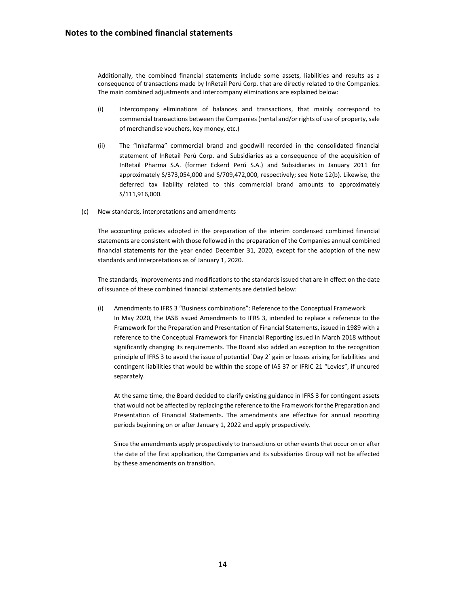Additionally, the combined financial statements include some assets, liabilities and results as a consequence of transactions made by InRetail Perú Corp. that are directly related to the Companies. The main combined adjustments and intercompany eliminations are explained below:

- (i) Intercompany eliminations of balances and transactions, that mainly correspond to commercial transactions between the Companies (rental and/or rights of use of property, sale of merchandise vouchers, key money, etc.)
- (ii) The "Inkafarma" commercial brand and goodwill recorded in the consolidated financial statement of InRetail Perú Corp. and Subsidiaries as a consequence of the acquisition of InRetail Pharma S.A. (former Eckerd Perú S.A.) and Subsidiaries in January 2011 for approximately S/373,054,000 and S/709,472,000, respectively; see Note 12(b). Likewise, the deferred tax liability related to this commercial brand amounts to approximately S/111,916,000.
- (c) New standards, interpretations and amendments

The accounting policies adopted in the preparation of the interim condensed combined financial statements are consistent with those followed in the preparation of the Companies annual combined financial statements for the year ended December 31, 2020, except for the adoption of the new standards and interpretations as of January 1, 2020.

The standards, improvements and modifications to the standards issued that are in effect on the date of issuance of these combined financial statements are detailed below:

(i) Amendments to IFRS 3 "Business combinations": Reference to the Conceptual Framework In May 2020, the IASB issued Amendments to IFRS 3, intended to replace a reference to the Framework for the Preparation and Presentation of Financial Statements, issued in 1989 with a reference to the Conceptual Framework for Financial Reporting issued in March 2018 without significantly changing its requirements. The Board also added an exception to the recognition principle of IFRS 3 to avoid the issue of potential ´Day 2´ gain or losses arising for liabilities and contingent liabilities that would be within the scope of IAS 37 or IFRIC 21 "Levies", if uncured separately.

At the same time, the Board decided to clarify existing guidance in IFRS 3 for contingent assets that would not be affected by replacing the reference to the Framework for the Preparation and Presentation of Financial Statements. The amendments are effective for annual reporting periods beginning on or after January 1, 2022 and apply prospectively.

Since the amendments apply prospectively to transactions or other events that occur on or after the date of the first application, the Companies and its subsidiaries Group will not be affected by these amendments on transition.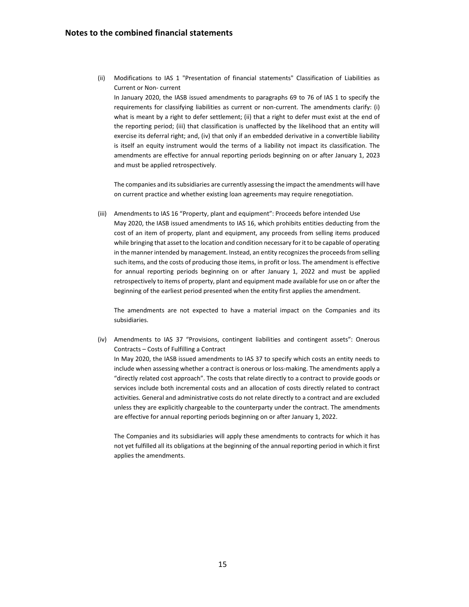(ii) Modifications to IAS 1 "Presentation of financial statements" Classification of Liabilities as Current or Non- current

In January 2020, the IASB issued amendments to paragraphs 69 to 76 of IAS 1 to specify the requirements for classifying liabilities as current or non-current. The amendments clarify: (i) what is meant by a right to defer settlement; (ii) that a right to defer must exist at the end of the reporting period; (iii) that classification is unaffected by the likelihood that an entity will exercise its deferral right; and, (iv) that only if an embedded derivative in a convertible liability is itself an equity instrument would the terms of a liability not impact its classification. The amendments are effective for annual reporting periods beginning on or after January 1, 2023 and must be applied retrospectively.

The companies and its subsidiaries are currently assessing the impact the amendments will have on current practice and whether existing loan agreements may require renegotiation.

(iii) Amendments to IAS 16 "Property, plant and equipment": Proceeds before intended Use May 2020, the IASB issued amendments to IAS 16, which prohibits entities deducting from the cost of an item of property, plant and equipment, any proceeds from selling items produced while bringing that asset to the location and condition necessary for it to be capable of operating in the manner intended by management. Instead, an entity recognizes the proceeds from selling such items, and the costs of producing those items, in profit or loss. The amendment is effective for annual reporting periods beginning on or after January 1, 2022 and must be applied retrospectively to items of property, plant and equipment made available for use on or after the beginning of the earliest period presented when the entity first applies the amendment.

The amendments are not expected to have a material impact on the Companies and its subsidiaries.

(iv) Amendments to IAS 37 "Provisions, contingent liabilities and contingent assets": Onerous Contracts – Costs of Fulfilling a Contract

In May 2020, the IASB issued amendments to IAS 37 to specify which costs an entity needs to include when assessing whether a contract is onerous or loss-making. The amendments apply a "directly related cost approach". The costs that relate directly to a contract to provide goods or services include both incremental costs and an allocation of costs directly related to contract activities. General and administrative costs do not relate directly to a contract and are excluded unless they are explicitly chargeable to the counterparty under the contract. The amendments are effective for annual reporting periods beginning on or after January 1, 2022.

The Companies and its subsidiaries will apply these amendments to contracts for which it has not yet fulfilled all its obligations at the beginning of the annual reporting period in which it first applies the amendments.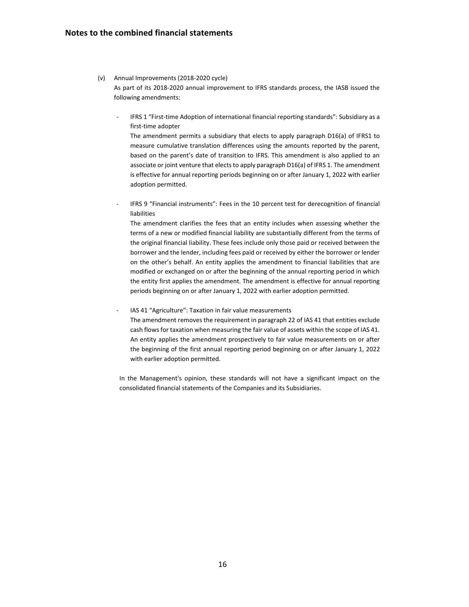#### (v) Annual Improvements (2018-2020 cycle)

As part of its 2018-2020 annual improvement to IFRS standards process, the IASB issued the following amendments:

IFRS 1 "First-time Adoption of international financial reporting standards": Subsidiary as a first-time adopter

The amendment permits a subsidiary that elects to apply paragraph D16(a) of IFRS1 to measure cumulative translation differences using the amounts reported by the parent, based on the parent's date of transition to IFRS. This amendment is also applied to an associate or joint venture that elects to apply paragraph D16(a) of IFRS 1. The amendment is effective for annual reporting periods beginning on or after January 1, 2022 with earlier adoption permitted.

IFRS 9 "Financial instruments": Fees in the 10 percent test for derecognition of financial liabilities

The amendment clarifies the fees that an entity includes when assessing whether the terms of a new or modified financial liability are substantially different from the terms of the original financial liability. These fees include only those paid or received between the borrower and the lender, including fees paid or received by either the borrower or lender on the other's behalf. An entity applies the amendment to financial liabilities that are modified or exchanged on or after the beginning of the annual reporting period in which the entity first applies the amendment. The amendment is effective for annual reporting periods beginning on or after January 1, 2022 with earlier adoption permitted.

IAS 41 "Agriculture": Taxation in fair value measurements

The amendment removes the requirement in paragraph 22 of IAS 41 that entities exclude cash flows for taxation when measuring the fair value of assets within the scope of IAS 41. An entity applies the amendment prospectively to fair value measurements on or after the beginning of the first annual reporting period beginning on or after January 1, 2022 with earlier adoption permitted.

In the Management's opinion, these standards will not have a significant impact on the consolidated financial statements of the Companies and its Subsidiaries.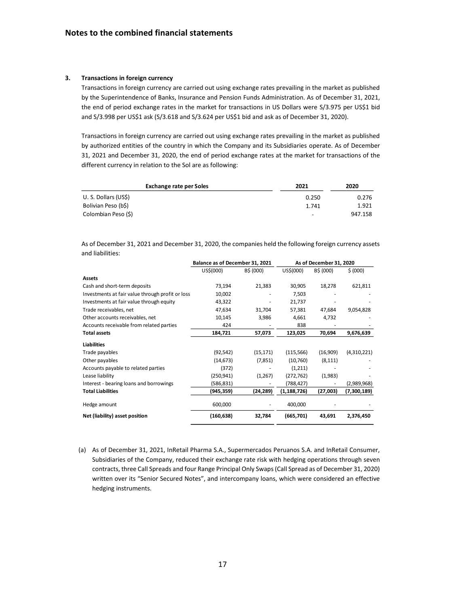#### **3. Transactions in foreign currency**

Transactions in foreign currency are carried out using exchange rates prevailing in the market as published by the Superintendence of Banks, Insurance and Pension Funds Administration. As of December 31, 2021, the end of period exchange rates in the market for transactions in US Dollars were S/3.975 per US\$1 bid and S/3.998 per US\$1 ask (S/3.618 and S/3.624 per US\$1 bid and ask as of December 31, 2020).

Transactions in foreign currency are carried out using exchange rates prevailing in the market as published by authorized entities of the country in which the Company and its Subsidiaries operate. As of December 31, 2021 and December 31, 2020, the end of period exchange rates at the market for transactions of the different currency in relation to the Sol are as following:

| <b>Exchange rate per Soles</b> | 2021                     | 2020    |
|--------------------------------|--------------------------|---------|
| U.S. Dollars (US\$)            | 0.250                    | 0.276   |
| Bolivian Peso (b\$)            | 1.741                    | 1.921   |
| Colombian Peso (\$)            | $\overline{\phantom{0}}$ | 947.158 |

As of December 31, 2021 and December 31, 2020, the companies held the following foreign currency assets and liabilities:

|                                                            |           | As of December 31, 2020         |           |             |  |
|------------------------------------------------------------|-----------|---------------------------------|-----------|-------------|--|
| US\$(000)                                                  | B\$ (000) | US\$(000)                       | B\$ (000) | \$ (000)    |  |
|                                                            |           |                                 |           |             |  |
| 73,194                                                     | 21,383    | 30,905                          | 18,278    | 621,811     |  |
| Investments at fair value through profit or loss<br>10,002 |           | 7,503                           |           |             |  |
| 43,322                                                     |           | 21,737                          |           |             |  |
| 47,634                                                     | 31,704    | 57,381                          | 47,684    | 9,054,828   |  |
| 10,145                                                     | 3,986     | 4,661                           | 4,732     |             |  |
| 424                                                        |           | 838                             |           |             |  |
| 184,721                                                    | 57,073    | 123,025                         | 70,694    | 9,676,639   |  |
|                                                            |           |                                 |           |             |  |
| (92, 542)                                                  | (15, 171) | (115, 566)                      | (16,909)  | (4,310,221) |  |
| (14, 673)                                                  | (7,851)   | (10,760)                        | (8, 111)  |             |  |
| (372)                                                      |           | (1,211)                         |           |             |  |
| (250, 941)                                                 | (1,267)   | (272, 762)                      | (1,983)   |             |  |
| (586,831)                                                  |           | (788,427)                       |           | (2,989,968) |  |
| (945,359)                                                  | (24,289)  | (1, 188, 726)                   | (27,003)  | (7,300,189) |  |
| 600,000                                                    |           | 400,000                         |           |             |  |
| (160, 638)                                                 | 32,784    | (665, 701)                      | 43,691    | 2,376,450   |  |
|                                                            |           | Balance as of December 31, 2021 |           |             |  |

(a) As of December 31, 2021, InRetail Pharma S.A., Supermercados Peruanos S.A. and InRetail Consumer, Subsidiaries of the Company, reduced their exchange rate risk with hedging operations through seven contracts, three Call Spreads and four Range Principal Only Swaps(Call Spread as of December 31, 2020) written over its "Senior Secured Notes", and intercompany loans, which were considered an effective hedging instruments.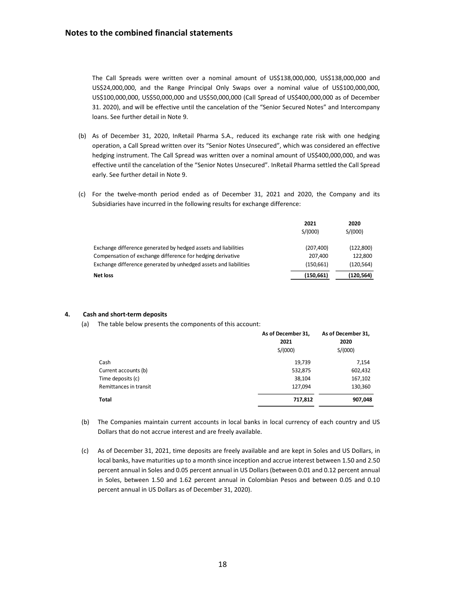The Call Spreads were written over a nominal amount of US\$138,000,000, US\$138,000,000 and US\$24,000,000, and the Range Principal Only Swaps over a nominal value of US\$100,000,000, US\$100,000,000, US\$50,000,000 and US\$50,000,000 (Call Spread of US\$400,000,000 as of December 31. 2020), and will be effective until the cancelation of the "Senior Secured Notes" and Intercompany loans. See further detail in Note 9.

- (b) As of December 31, 2020, InRetail Pharma S.A., reduced its exchange rate risk with one hedging operation, a Call Spread written over its "Senior Notes Unsecured", which was considered an effective hedging instrument. The Call Spread was written over a nominal amount of US\$400,000,000, and was effective until the cancelation of the "Senior Notes Unsecured". InRetail Pharma settled the Call Spread early. See further detail in Note 9.
- (c) For the twelve-month period ended as of December 31, 2021 and 2020, the Company and its Subsidiaries have incurred in the following results for exchange difference:

|                                                                  | 2021       | 2020       |
|------------------------------------------------------------------|------------|------------|
|                                                                  | S/(000)    | S/(000)    |
| Exchange difference generated by hedged assets and liabilities   | (207, 400) | (122, 800) |
| Compensation of exchange difference for hedging derivative       | 207.400    | 122.800    |
| Exchange difference generated by unhedged assets and liabilities | (150.661)  | (120, 564) |
| Net loss                                                         | (150, 661) | (120, 564) |

#### **4. Cash and short-term deposits**

(a) The table below presents the components of this account:

|                        | As of December 31,<br>2021<br>S/(000) | As of December 31,<br>2020<br>S/(000) |
|------------------------|---------------------------------------|---------------------------------------|
| Cash                   | 19,739                                | 7,154                                 |
| Current accounts (b)   | 532,875                               | 602,432                               |
| Time deposits (c)      | 38,104                                | 167,102                               |
| Remittances in transit | 127.094                               | 130,360                               |
| Total                  | 717,812                               | 907,048                               |

- (b) The Companies maintain current accounts in local banks in local currency of each country and US Dollars that do not accrue interest and are freely available.
- (c) As of December 31, 2021, time deposits are freely available and are kept in Soles and US Dollars, in local banks, have maturities up to a month since inception and accrue interest between 1.50 and 2.50 percent annual in Soles and 0.05 percent annual in US Dollars (between 0.01 and 0.12 percent annual in Soles, between 1.50 and 1.62 percent annual in Colombian Pesos and between 0.05 and 0.10 percent annual in US Dollars as of December 31, 2020).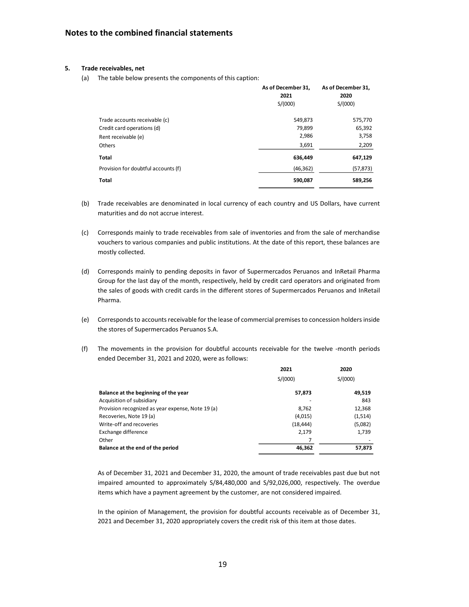#### **5. Trade receivables, net**

(a) The table below presents the components of this caption:

|                                     | As of December 31, | As of December 31, |
|-------------------------------------|--------------------|--------------------|
|                                     | 2021               | 2020               |
|                                     | S/(000)            | S/(000)            |
| Trade accounts receivable (c)       | 549,873            | 575,770            |
| Credit card operations (d)          | 79,899             | 65,392             |
| Rent receivable (e)                 | 2,986              | 3,758              |
| <b>Others</b>                       | 3,691              | 2,209              |
| <b>Total</b>                        | 636,449            | 647,129            |
| Provision for doubtful accounts (f) | (46, 362)          | (57, 873)          |
| <b>Total</b>                        | 590,087            | 589,256            |

- (b) Trade receivables are denominated in local currency of each country and US Dollars, have current maturities and do not accrue interest.
- (c) Corresponds mainly to trade receivables from sale of inventories and from the sale of merchandise vouchers to various companies and public institutions. At the date of this report, these balances are mostly collected.
- (d) Corresponds mainly to pending deposits in favor of Supermercados Peruanos and InRetail Pharma Group for the last day of the month, respectively, held by credit card operators and originated from the sales of goods with credit cards in the different stores of Supermercados Peruanos and InRetail Pharma.
- (e) Corresponds to accounts receivable for the lease of commercial premises to concession holders inside the stores of Supermercados Peruanos S.A.
- (f) The movements in the provision for doubtful accounts receivable for the twelve -month periods ended December 31, 2021 and 2020, were as follows:

|                                                   | 2021      | 2020    |
|---------------------------------------------------|-----------|---------|
|                                                   | S/(000)   | S/(000) |
| Balance at the beginning of the year              | 57,873    | 49,519  |
| Acquisition of subsidiary                         |           | 843     |
| Provision recognized as year expense, Note 19 (a) | 8,762     | 12,368  |
| Recoveries, Note 19 (a)                           | (4,015)   | (1,514) |
| Write-off and recoveries                          | (18, 444) | (5,082) |
| Exchange difference                               | 2,179     | 1,739   |
| Other                                             |           |         |
| Balance at the end of the period                  | 46,362    | 57,873  |

As of December 31, 2021 and December 31, 2020, the amount of trade receivables past due but not impaired amounted to approximately S/84,480,000 and S/92,026,000, respectively. The overdue items which have a payment agreement by the customer, are not considered impaired.

In the opinion of Management, the provision for doubtful accounts receivable as of December 31, 2021 and December 31, 2020 appropriately covers the credit risk of this item at those dates.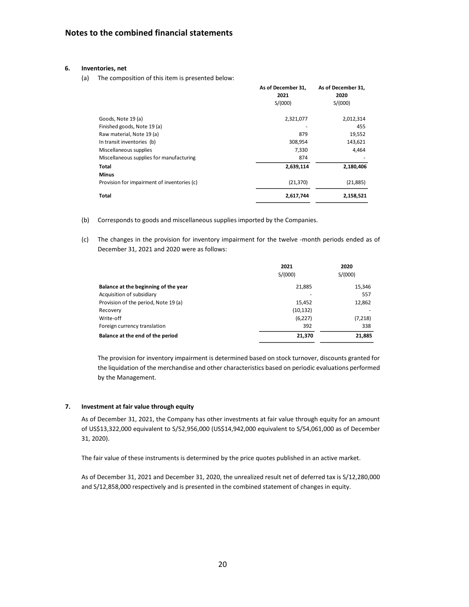#### **6. Inventories, net**

(a) The composition of this item is presented below:

|                                             | As of December 31,<br>2021 | As of December 31,<br>2020 |
|---------------------------------------------|----------------------------|----------------------------|
|                                             | S/(000)                    | S/(000)                    |
| Goods, Note 19 (a)                          | 2,321,077                  | 2,012,314                  |
| Finished goods, Note 19 (a)                 |                            | 455                        |
| Raw material, Note 19 (a)                   | 879                        | 19,552                     |
| In transit inventories (b)                  | 308,954                    | 143,621                    |
| Miscellaneous supplies                      | 7,330                      | 4,464                      |
| Miscellaneous supplies for manufacturing    | 874                        |                            |
| Total                                       | 2,639,114                  | 2,180,406                  |
| <b>Minus</b>                                |                            |                            |
| Provision for impairment of inventories (c) | (21, 370)                  | (21, 885)                  |
| Total                                       | 2,617,744                  | 2,158,521                  |

- (b) Corresponds to goods and miscellaneous supplies imported by the Companies.
- (c) The changes in the provision for inventory impairment for the twelve -month periods ended as of December 31, 2021 and 2020 were as follows:

|                                      | 2021<br>S/(000) | 2020<br>S/(000) |
|--------------------------------------|-----------------|-----------------|
| Balance at the beginning of the year | 21,885          | 15,346          |
| Acquisition of subsidiary            |                 | 557             |
| Provision of the period, Note 19 (a) | 15,452          | 12,862          |
| Recovery                             | (10, 132)       |                 |
| Write-off                            | (6,227)         | (7,218)         |
| Foreign currency translation         | 392             | 338             |
| Balance at the end of the period     | 21,370          | 21,885          |

The provision for inventory impairment is determined based on stock turnover, discounts granted for the liquidation of the merchandise and other characteristics based on periodic evaluations performed by the Management.

#### **7. Investment at fair value through equity**

As of December 31, 2021, the Company has other investments at fair value through equity for an amount of US\$13,322,000 equivalent to S/52,956,000 (US\$14,942,000 equivalent to S/54,061,000 as of December 31, 2020).

The fair value of these instruments is determined by the price quotes published in an active market.

As of December 31, 2021 and December 31, 2020, the unrealized result net of deferred tax is S/12,280,000 and S/12,858,000 respectively and is presented in the combined statement of changes in equity.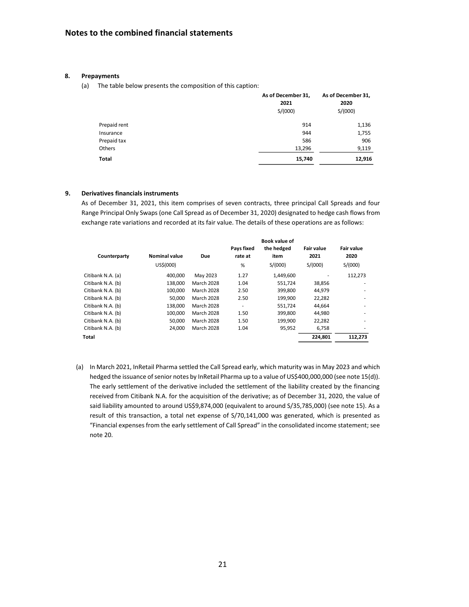#### **8. Prepayments**

(a) The table below presents the composition of this caption:

|              | As of December 31,<br>2021<br>S/(000) | As of December 31,<br>2020<br>S/(000) |
|--------------|---------------------------------------|---------------------------------------|
| Prepaid rent | 914                                   | 1,136                                 |
| Insurance    | 944                                   | 1,755                                 |
| Prepaid tax  | 586                                   | 906                                   |
| Others       | 13,296                                | 9,119                                 |
| Total        | 15,740                                | 12,916                                |

#### **9. Derivatives financials instruments**

As of December 31, 2021, this item comprises of seven contracts, three principal Call Spreads and four Range Principal Only Swaps (one Call Spread as of December 31, 2020) designated to hedge cash flows from exchange rate variations and recorded at its fair value. The details of these operations are as follows:

|                   |                      |                   | <b>Book value of</b>  |                    |                           |                           |
|-------------------|----------------------|-------------------|-----------------------|--------------------|---------------------------|---------------------------|
| Counterparty      | <b>Nominal value</b> | <b>Due</b>        | Pays fixed<br>rate at | the hedged<br>item | <b>Fair value</b><br>2021 | <b>Fair value</b><br>2020 |
|                   | US\$(000)            |                   | %                     | S/(000)            | S/(000)                   | S/(000)                   |
| Citibank N.A. (a) | 400.000              | May 2023          | 1.27                  | 1,449,600          |                           | 112,273                   |
| Citibank N.A. (b) | 138.000              | <b>March 2028</b> | 1.04                  | 551.724            | 38,856                    |                           |
| Citibank N.A. (b) | 100.000              | <b>March 2028</b> | 2.50                  | 399,800            | 44,979                    | ۰                         |
| Citibank N.A. (b) | 50.000               | <b>March 2028</b> | 2.50                  | 199.900            | 22,282                    |                           |
| Citibank N.A. (b) | 138.000              | <b>March 2028</b> | ۰                     | 551,724            | 44.664                    |                           |
| Citibank N.A. (b) | 100,000              | <b>March 2028</b> | 1.50                  | 399,800            | 44,980                    | ٠                         |
| Citibank N.A. (b) | 50.000               | <b>March 2028</b> | 1.50                  | 199.900            | 22,282                    |                           |
| Citibank N.A. (b) | 24,000               | <b>March 2028</b> | 1.04                  | 95,952             | 6,758                     |                           |
| Total             |                      |                   |                       |                    | 224.801                   | 112.273                   |
|                   |                      |                   |                       |                    |                           |                           |

(a) In March 2021, InRetail Pharma settled the Call Spread early, which maturity was in May 2023 and which hedged the issuance of senior notes by InRetail Pharma up to a value of US\$400,000,000 (see note 15(d)). The early settlement of the derivative included the settlement of the liability created by the financing received from Citibank N.A. for the acquisition of the derivative; as of December 31, 2020, the value of said liability amounted to around US\$9,874,000 (equivalent to around S/35,785,000) (see note 15). As a result of this transaction, a total net expense of S/70,141,000 was generated, which is presented as "Financial expenses from the early settlement of Call Spread" in the consolidated income statement; see note 20.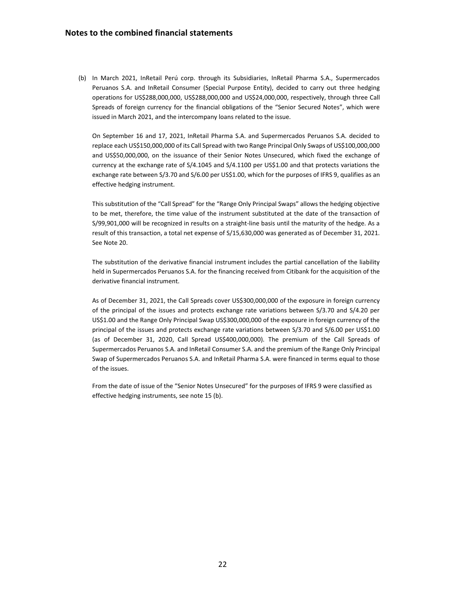(b) In March 2021, InRetail Perú corp. through its Subsidiaries, InRetail Pharma S.A., Supermercados Peruanos S.A. and InRetail Consumer (Special Purpose Entity), decided to carry out three hedging operations for US\$288,000,000, US\$288,000,000 and US\$24,000,000, respectively, through three Call Spreads of foreign currency for the financial obligations of the "Senior Secured Notes", which were issued in March 2021, and the intercompany loans related to the issue.

On September 16 and 17, 2021, InRetail Pharma S.A. and Supermercados Peruanos S.A. decided to replace each US\$150,000,000 of its Call Spread with two Range Principal Only Swaps of US\$100,000,000 and US\$50,000,000, on the issuance of their Senior Notes Unsecured, which fixed the exchange of currency at the exchange rate of S/4.1045 and S/4.1100 per US\$1.00 and that protects variations the exchange rate between S/3.70 and S/6.00 per US\$1.00, which for the purposes of IFRS 9, qualifies as an effective hedging instrument.

This substitution of the "Call Spread" for the "Range Only Principal Swaps" allows the hedging objective to be met, therefore, the time value of the instrument substituted at the date of the transaction of S/99,901,000 will be recognized in results on a straight-line basis until the maturity of the hedge. As a result of this transaction, a total net expense of S/15,630,000 was generated as of December 31, 2021. See Note 20.

The substitution of the derivative financial instrument includes the partial cancellation of the liability held in Supermercados Peruanos S.A. for the financing received from Citibank for the acquisition of the derivative financial instrument.

As of December 31, 2021, the Call Spreads cover US\$300,000,000 of the exposure in foreign currency of the principal of the issues and protects exchange rate variations between S/3.70 and S/4.20 per US\$1.00 and the Range Only Principal Swap US\$300,000,000 of the exposure in foreign currency of the principal of the issues and protects exchange rate variations between S/3.70 and S/6.00 per US\$1.00 (as of December 31, 2020, Call Spread US\$400,000,000). The premium of the Call Spreads of Supermercados Peruanos S.A. and InRetail Consumer S.A. and the premium of the Range Only Principal Swap of Supermercados Peruanos S.A. and InRetail Pharma S.A. were financed in terms equal to those of the issues.

From the date of issue of the "Senior Notes Unsecured" for the purposes of IFRS 9 were classified as effective hedging instruments, see note 15 (b).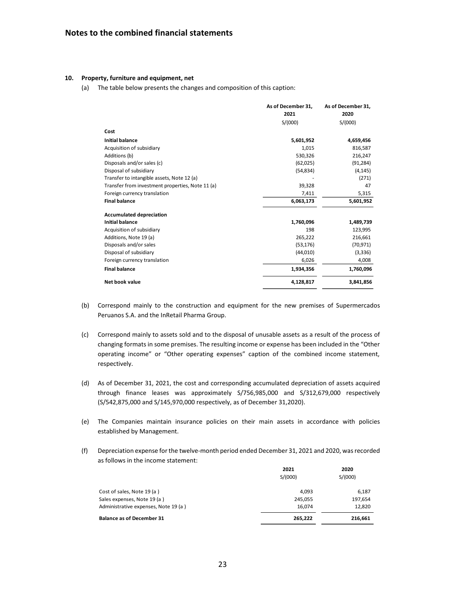#### **10. Property, furniture and equipment, net**

(a) The table below presents the changes and composition of this caption:

|                                                  | As of December 31, | As of December 31, |
|--------------------------------------------------|--------------------|--------------------|
|                                                  | 2021               | 2020               |
|                                                  | S/(000)            | S/(000)            |
| Cost                                             |                    |                    |
| <b>Initial balance</b>                           | 5,601,952          | 4,659,456          |
| Acquisition of subsidiary                        | 1,015              | 816,587            |
| Additions (b)                                    | 530,326            | 216,247            |
| Disposals and/or sales (c)                       | (62,025)           | (91, 284)          |
| Disposal of subsidiary                           | (54, 834)          | (4, 145)           |
| Transfer to intangible assets, Note 12 (a)       |                    | (271)              |
| Transfer from investment properties, Note 11 (a) | 39,328             | 47                 |
| Foreign currency translation                     | 7,411              | 5,315              |
| <b>Final balance</b>                             | 6,063,173          | 5,601,952          |
| <b>Accumulated depreciation</b>                  |                    |                    |
| <b>Initial balance</b>                           | 1,760,096          | 1,489,739          |
| Acquisition of subsidiary                        | 198                | 123,995            |
| Additions, Note 19 (a)                           | 265,222            | 216,661            |
| Disposals and/or sales                           | (53, 176)          | (70, 971)          |
| Disposal of subsidiary                           | (44, 010)          | (3,336)            |
| Foreign currency translation                     | 6,026              | 4,008              |
| <b>Final balance</b>                             | 1,934,356          | 1,760,096          |
| Net book value                                   | 4,128,817          | 3,841,856          |

- (b) Correspond mainly to the construction and equipment for the new premises of Supermercados Peruanos S.A. and the InRetail Pharma Group.
- (c) Correspond mainly to assets sold and to the disposal of unusable assets as a result of the process of changing formats in some premises. The resulting income or expense has been included in the "Other operating income" or "Other operating expenses" caption of the combined income statement, respectively.
- (d) As of December 31, 2021, the cost and corresponding accumulated depreciation of assets acquired through finance leases was approximately S/756,985,000 and S/312,679,000 respectively (S/542,875,000 and S/145,970,000 respectively, as of December 31,2020).
- (e) The Companies maintain insurance policies on their main assets in accordance with policies established by Management.
- (f) Depreciation expense for the twelve-month period ended December 31, 2021 and 2020, was recorded as follows in the income statement:

|                                      | 2021    | 2020    |
|--------------------------------------|---------|---------|
|                                      | S/(000) | S/(000) |
| Cost of sales, Note 19 (a)           | 4.093   | 6,187   |
| Sales expenses, Note 19 (a)          | 245,055 | 197,654 |
| Administrative expenses, Note 19 (a) | 16,074  | 12,820  |
| <b>Balance as of December 31</b>     | 265,222 | 216,661 |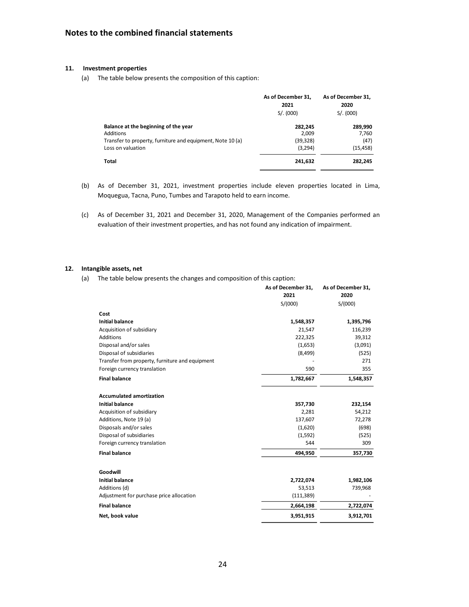### **11. Investment properties**

(a) The table below presents the composition of this caption:

|                                                            | As of December 31.<br>2021<br>S/. (000) | As of December 31.<br>2020<br>S/. (000) |
|------------------------------------------------------------|-----------------------------------------|-----------------------------------------|
| Balance at the beginning of the year                       | 282.245                                 | 289.990                                 |
| Additions                                                  | 2.009                                   | 7,760                                   |
| Transfer to property, furniture and equipment, Note 10 (a) | (39, 328)                               | (47)                                    |
| Loss on valuation                                          | (3,294)                                 | (15, 458)                               |
| Total                                                      | 241,632                                 | 282,245                                 |

- (b) As of December 31, 2021, investment properties include eleven properties located in Lima, Moquegua, Tacna, Puno, Tumbes and Tarapoto held to earn income.
- (c) As of December 31, 2021 and December 31, 2020, Management of the Companies performed an evaluation of their investment properties, and has not found any indication of impairment.

#### **12. Intangible assets, net**

(a) The table below presents the changes and composition of this caption:

|                                                                                 | As of December 31,<br>2021 | As of December 31,<br>2020 |
|---------------------------------------------------------------------------------|----------------------------|----------------------------|
|                                                                                 | S/(000)                    | S/(000)                    |
|                                                                                 |                            |                            |
| Cost                                                                            |                            |                            |
| <b>Initial balance</b>                                                          | 1,548,357                  | 1,395,796                  |
| Acquisition of subsidiary                                                       | 21,547                     | 116,239                    |
| Additions                                                                       | 222,325                    | 39,312                     |
| Disposal and/or sales                                                           | (1,653)                    | (3,091)                    |
| Disposal of subsidiaries                                                        | (8, 499)                   | (525)                      |
| Transfer from property, furniture and equipment<br>Foreign currency translation | 590                        | 271<br>355                 |
|                                                                                 |                            |                            |
| <b>Final balance</b>                                                            | 1,782,667                  | 1,548,357                  |
| <b>Accumulated amortization</b>                                                 |                            |                            |
| <b>Initial balance</b>                                                          | 357,730                    | 232,154                    |
| Acquisition of subsidiary                                                       | 2,281                      | 54,212                     |
| Additions, Note 19 (a)                                                          | 137,607                    | 72,278                     |
| Disposals and/or sales                                                          | (1,620)                    | (698)                      |
| Disposal of subsidiaries                                                        | (1,592)                    | (525)                      |
| Foreign currency translation                                                    | 544                        | 309                        |
| <b>Final balance</b>                                                            | 494,950                    | 357,730                    |
|                                                                                 |                            |                            |
| Goodwill                                                                        |                            |                            |
| <b>Initial balance</b>                                                          | 2,722,074                  | 1,982,106                  |
| Additions (d)                                                                   | 53,513                     | 739,968                    |
| Adjustment for purchase price allocation                                        | (111, 389)                 |                            |
| <b>Final balance</b>                                                            | 2,664,198                  | 2,722,074                  |
| Net, book value                                                                 | 3,951,915                  | 3,912,701                  |
|                                                                                 |                            |                            |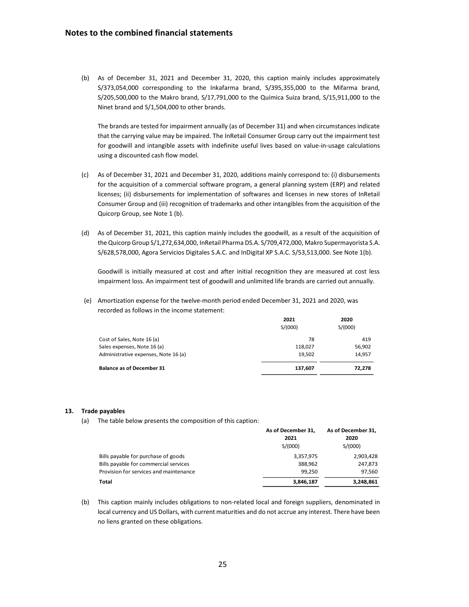(b) As of December 31, 2021 and December 31, 2020, this caption mainly includes approximately S/373,054,000 corresponding to the Inkafarma brand, S/395,355,000 to the Mifarma brand, S/205,500,000 to the Makro brand, S/17,791,000 to the Química Suiza brand, S/15,911,000 to the Ninet brand and S/1,504,000 to other brands.

The brands are tested for impairment annually (as of December 31) and when circumstances indicate that the carrying value may be impaired. The InRetail Consumer Group carry out the impairment test for goodwill and intangible assets with indefinite useful lives based on value-in-usage calculations using a discounted cash flow model.

- (c) As of December 31, 2021 and December 31, 2020, additions mainly correspond to: (i) disbursements for the acquisition of a commercial software program, a general planning system (ERP) and related licenses; (ii) disbursements for implementation of softwares and licenses in new stores of InRetail Consumer Group and (iii) recognition of trademarks and other intangibles from the acquisition of the Quicorp Group, see Note 1 (b).
- (d) As of December 31, 2021, this caption mainly includes the goodwill, as a result of the acquisition of the Quicorp Group S/1,272,634,000, InRetail Pharma DS.A. S/709,472,000, Makro Supermayorista S.A. S/628,578,000, Agora Servicios Digitales S.A.C. and InDigital XP S.A.C. S/53,513,000. See Note 1(b).

Goodwill is initially measured at cost and after initial recognition they are measured at cost less impairment loss. An impairment test of goodwill and unlimited life brands are carried out annually.

(e) Amortization expense for the twelve-month period ended December 31, 2021 and 2020, was recorded as follows in the income statement:

|                                      | 2021    | 2020    |
|--------------------------------------|---------|---------|
|                                      | S/(000) | S/(000) |
| Cost of Sales, Note 16 (a)           | 78      | 419     |
| Sales expenses, Note 16 (a)          | 118,027 | 56,902  |
| Administrative expenses, Note 16 (a) | 19,502  | 14,957  |
| <b>Balance as of December 31</b>     | 137,607 | 72,278  |

#### **13. Trade payables**

(a) The table below presents the composition of this caption:

|                                        | As of December 31, | As of December 31, |
|----------------------------------------|--------------------|--------------------|
|                                        | 2021               | 2020               |
|                                        | S/(000)            | S/(000)            |
| Bills payable for purchase of goods    | 3,357,975          | 2,903,428          |
| Bills payable for commercial services  | 388.962            | 247,873            |
| Provision for services and maintenance | 99.250             | 97.560             |
| Total                                  | 3,846,187          | 3,248,861          |

(b) This caption mainly includes obligations to non-related local and foreign suppliers, denominated in local currency and US Dollars, with current maturities and do not accrue any interest. There have been no liens granted on these obligations.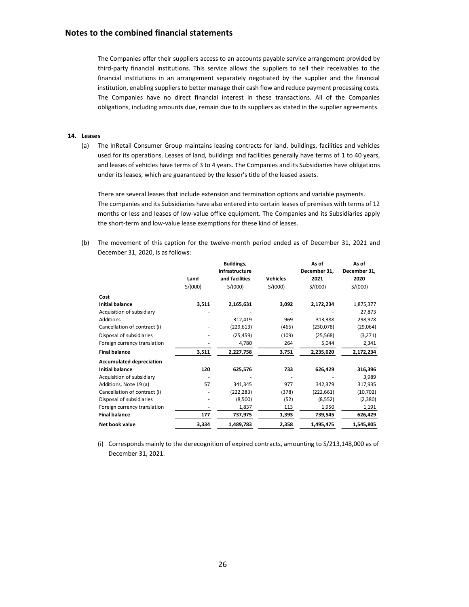#### **Notes to the combined financial statements**

The Companies offer their suppliers access to an accounts payable service arrangement provided by third-party financial institutions. This service allows the suppliers to sell their receivables to the financial institutions in an arrangement separately negotiated by the supplier and the financial institution, enabling suppliers to better manage their cash flow and reduce payment processing costs. The Companies have no direct financial interest in these transactions. All of the Companies obligations, including amounts due, remain due to its suppliers as stated in the supplier agreements.

#### **14. Leases**

(a) The InRetail Consumer Group maintains leasing contracts for land, buildings, facilities and vehicles used for its operations. Leases of land, buildings and facilities generally have terms of 1 to 40 years, and leases of vehicles have terms of 3 to 4 years. The Companies and its Subsidiaries have obligations under its leases, which are guaranteed by the lessor's title of the leased assets.

There are several leases that include extension and termination options and variable payments. The companies and its Subsidiaries have also entered into certain leases of premises with terms of 12 months or less and leases of low-value office equipment. The Companies and its Subsidiaries apply the short-term and low-value lease exemptions for these kind of leases.

(b) The movement of this caption for the twelve-month period ended as of December 31, 2021 and December 31, 2020, is as follows:

|                                 |         | Buildings,     |                 | As of        | As of        |
|---------------------------------|---------|----------------|-----------------|--------------|--------------|
|                                 |         | infrastructure |                 | December 31, | December 31, |
|                                 | Land    | and facilities | <b>Vehicles</b> | 2021         | 2020         |
|                                 | S/(000) | S/(000)        | S/(000)         | S/(000)      | S/(000)      |
| Cost                            |         |                |                 |              |              |
| <b>Initial balance</b>          | 3,511   | 2,165,631      | 3,092           | 2,172,234    | 1,875,377    |
| Acquisition of subsidiary       |         |                |                 |              | 27,873       |
| <b>Additions</b>                |         | 312,419        | 969             | 313,388      | 298,978      |
| Cancellation of contract (i)    |         | (229, 613)     | (465)           | (230,078)    | (29,064)     |
| Disposal of subsidiaries        |         | (25, 459)      | (109)           | (25, 568)    | (3,271)      |
| Foreign currency translation    |         | 4,780          | 264             | 5,044        | 2,341        |
| <b>Final balance</b>            | 3,511   | 2,227,758      | 3,751           | 2,235,020    | 2,172,234    |
| <b>Accumulated depreciation</b> |         |                |                 |              |              |
| <b>Initial balance</b>          | 120     | 625,576        | 733             | 626,429      | 316,396      |
| Acquisition of subsidiary       |         |                |                 |              | 3,989        |
| Additions, Note 19 (a)          | 57      | 341,345        | 977             | 342,379      | 317,935      |
| Cancellation of contract (i)    |         | (222, 283)     | (378)           | (222, 661)   | (10, 702)    |
| Disposal of subsidiaries        |         | (8,500)        | (52)            | (8, 552)     | (2,380)      |
| Foreign currency translation    |         | 1,837          | 113             | 1,950        | 1,191        |
| <b>Final balance</b>            | 177     | 737,975        | 1,393           | 739,545      | 626,429      |
| Net book value                  | 3,334   | 1,489,783      | 2,358           | 1,495,475    | 1,545,805    |

(i) Corresponds mainly to the derecognition of expired contracts, amounting to S/213,148,000 as of December 31, 2021.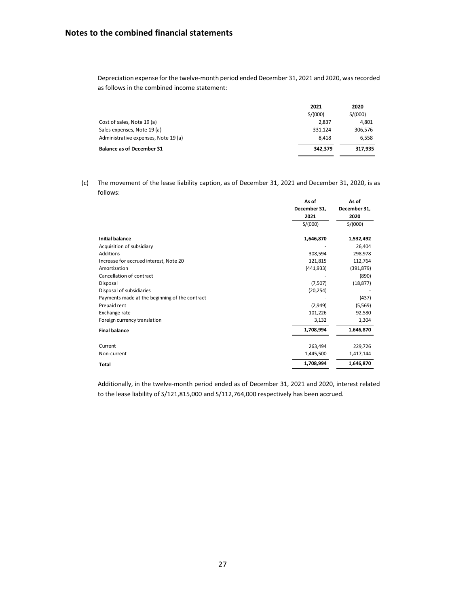Depreciation expense for the twelve-month period ended December 31, 2021 and 2020, was recorded as follows in the combined income statement:

|                                      | 2021    | 2020    |
|--------------------------------------|---------|---------|
|                                      | S/(000) | S/(000) |
| Cost of sales, Note 19 (a)           | 2.837   | 4,801   |
| Sales expenses, Note 19 (a)          | 331.124 | 306,576 |
| Administrative expenses, Note 19 (a) | 8.418   | 6,558   |
| <b>Balance as of December 31</b>     | 342.379 | 317.935 |
|                                      |         |         |

(c) The movement of the lease liability caption, as of December 31, 2021 and December 31, 2020, is as follows:

|                                                | As of        | As of        |
|------------------------------------------------|--------------|--------------|
|                                                | December 31, | December 31, |
|                                                | 2021         | 2020         |
|                                                | S/(000)      | S/(000)      |
| <b>Initial balance</b>                         | 1,646,870    | 1,532,492    |
| Acquisition of subsidiary                      |              | 26,404       |
| Additions                                      | 308,594      | 298,978      |
| Increase for accrued interest, Note 20         | 121,815      | 112,764      |
| Amortization                                   | (441, 933)   | (391, 879)   |
| Cancellation of contract                       |              | (890)        |
| Disposal                                       | (7,507)      | (18, 877)    |
| Disposal of subsidiaries                       | (20, 254)    |              |
| Payments made at the beginning of the contract |              | (437)        |
| Prepaid rent                                   | (2,949)      | (5, 569)     |
| Exchange rate                                  | 101,226      | 92,580       |
| Foreign currency translation                   | 3,132        | 1,304        |
| <b>Final balance</b>                           | 1,708,994    | 1,646,870    |
| Current                                        | 263,494      | 229,726      |
| Non-current                                    | 1,445,500    | 1,417,144    |
| Total                                          | 1,708,994    | 1,646,870    |

Additionally, in the twelve-month period ended as of December 31, 2021 and 2020, interest related to the lease liability of S/121,815,000 and S/112,764,000 respectively has been accrued.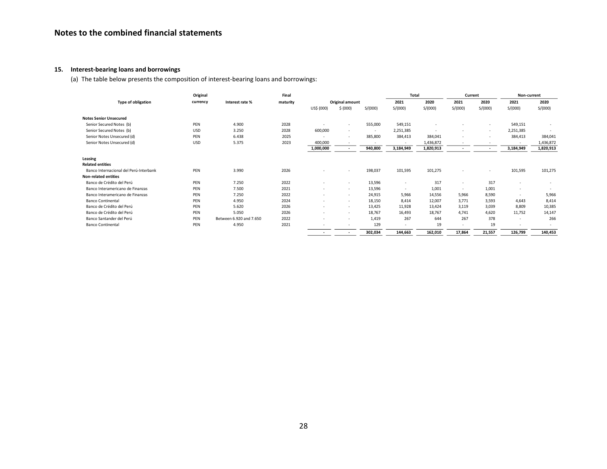## **15. Interest-bearing loans and borrowings**

(a) The table below presents the composition of interest-bearing loans and borrowings:

|                                        | Original   |                         | Final    |            |                          |         | <b>Total</b> |           | Current                  |                          | Non-current              |           |
|----------------------------------------|------------|-------------------------|----------|------------|--------------------------|---------|--------------|-----------|--------------------------|--------------------------|--------------------------|-----------|
| Type of obligation                     | currency   | Interest rate %         | maturity |            | Original amount          |         | 2021         | 2020      | 2021                     | 2020                     | 2021                     | 2020      |
|                                        |            |                         |          | US\$ (000) | \$ (000)                 | S/(000) | S/(000)      | S/(000)   | S/(000)                  | S/(000)                  | S/(000)                  | S/(000)   |
| <b>Notes Senior Unsecured</b>          |            |                         |          |            |                          |         |              |           |                          |                          |                          |           |
| Senior Secured Notes (b)               | PEN        | 4.900                   | 2028     |            | $\sim$                   | 555,000 | 549,151      | ٠         | ٠                        | ٠                        | 549,151                  |           |
| Senior Secured Notes (b)               | <b>USD</b> | 3.250                   | 2028     | 600,000    | $\sim$                   | $\sim$  | 2,251,385    | ٠         | ٠                        | ٠                        | 2,251,385                | $\sim$    |
| Senior Notes Unsecured (d)             | PEN        | 6.438                   | 2025     |            | $\sim$                   | 385,800 | 384,413      | 384,041   | ٠                        | ٠                        | 384,413                  | 384,041   |
| Senior Notes Unsecured (d)             | <b>USD</b> | 5.375                   | 2023     | 400,000    |                          | $\sim$  | ٠            | 1,436,872 | ٠                        | ٠                        | $\overline{\phantom{a}}$ | 1,436,872 |
|                                        |            |                         |          | 1,000,000  |                          | 940,800 | 3,184,949    | 1,820,913 | $\overline{\phantom{a}}$ | $\overline{\phantom{a}}$ | 3,184,949                | 1,820,913 |
| Leasing<br><b>Related entities</b>     |            |                         |          |            |                          |         |              |           |                          |                          |                          |           |
| Banco Internacional del Perú-Interbank | PEN        | 3.990                   | 2026     |            | $\sim$                   | 198,037 | 101,595      | 101,275   | $\overline{\phantom{a}}$ | ٠                        | 101,595                  | 101,275   |
| <b>Non-related entities</b>            |            |                         |          |            |                          |         |              |           |                          |                          |                          |           |
| Banco de Crédito del Perú              | PEN        | 7.250                   | 2022     |            | $\sim$                   | 13,596  | ٠            | 317       | ٠                        | 317                      | ٠                        |           |
| Banco Interamericano de Finanzas       | PEN        | 7.500                   | 2021     |            | $\sim$                   | 13,596  | ٠            | 1,001     | ٠                        | 1,001                    |                          |           |
| Banco Interamericano de Finanzas       | PEN        | 7.250                   | 2022     |            | $\sim$                   | 24,915  | 5,966        | 14,556    | 5,966                    | 8,590                    | $\overline{\phantom{a}}$ | 5,966     |
| <b>Banco Continental</b>               | PEN        | 4.950                   | 2024     |            | $\sim$                   | 18,150  | 8,414        | 12,007    | 3,771                    | 3,593                    | 4,643                    | 8,414     |
| Banco de Crédito del Perú              | PEN        | 5.620                   | 2026     | $\sim$     | $\sim$                   | 13,425  | 11,928       | 13,424    | 3,119                    | 3,039                    | 8,809                    | 10,385    |
| Banco de Crédito del Perú              | PEN        | 5.050                   | 2026     |            | $\sim$                   | 18,767  | 16,493       | 18,767    | 4,741                    | 4,620                    | 11,752                   | 14,147    |
| Banco Santander del Perú               | PEN        | Between 6.920 and 7.650 | 2022     |            | $\overline{\phantom{a}}$ | 1,419   | 267          | 644       | 267                      | 378                      | $\overline{\phantom{a}}$ | 266       |
| <b>Banco Continental</b>               | PEN        | 4.950                   | 2021     |            | $\sim$                   | 129     |              | 19        | ٠                        | 19                       |                          |           |
|                                        |            |                         |          |            |                          | 302,034 | 144,663      | 162,010   | 17,864                   | 21,557                   | 126,799                  | 140,453   |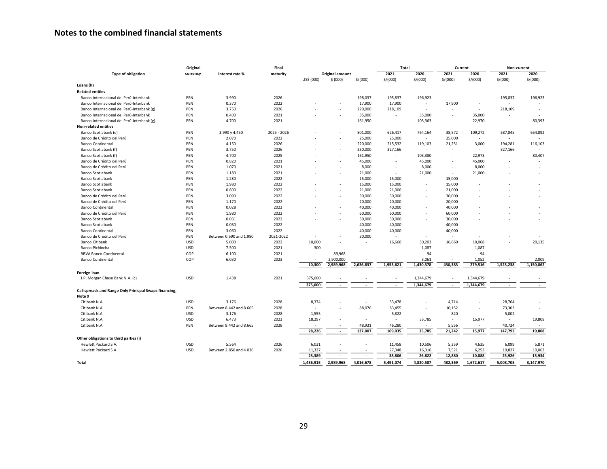# **Notes to the combined financial statements**

|                                                        | Original   |                         | Final       |                          |                          |                          | Total                    |                          | Current                  |           | Non-current              |                          |
|--------------------------------------------------------|------------|-------------------------|-------------|--------------------------|--------------------------|--------------------------|--------------------------|--------------------------|--------------------------|-----------|--------------------------|--------------------------|
| <b>Type of obligation</b>                              | currency   | Interest rate %         | maturity    |                          | Original amount          |                          | 2021                     | 2020                     | 2021                     | 2020      | 2021                     | 2020                     |
|                                                        |            |                         |             | US\$ (000)               | \$ (000)                 | S/(000)                  | S/(000)                  | S/(000)                  | S/(000)                  | S/(000)   | S/(000)                  | S/(000)                  |
| Loans (h)                                              |            |                         |             |                          |                          |                          |                          |                          |                          |           |                          |                          |
| <b>Related entities</b>                                |            |                         |             |                          |                          |                          |                          |                          |                          |           |                          |                          |
| Banco Internacional del Perú-Interbank                 | PEN        | 3.990                   | 2026        |                          |                          | 198,037                  | 195,837                  | 196,923                  |                          |           | 195,837                  | 196,923                  |
| Banco Internacional del Perú-Interbank                 | PEN        | 0.370                   | 2022        |                          | ٠                        | 17,900                   | 17,900                   | $\sim$                   | 17,900                   | $\sim$    |                          |                          |
| Banco Internacional del Perú-Interbank (g)             | PEN        | 3.750                   | 2026        |                          | ×,                       | 220,000                  | 218,109                  |                          |                          |           | 218,109                  |                          |
| Banco Internacional del Perú-Interbank                 | PEN        | 0.400                   | 2021        |                          | ٠                        | 35,000                   | $\overline{\phantom{a}}$ | 35,000                   | $\overline{\phantom{a}}$ | 35,000    |                          |                          |
| Banco Internacional del Perú-Interbank (g)             | PEN        | 4.700                   | 2021        |                          | ٠                        | 161,950                  | $\overline{\phantom{a}}$ | 103,363                  | $\overline{\phantom{a}}$ | 22,970    | $\overline{\phantom{a}}$ | 80,393                   |
| <b>Non-related entities</b>                            |            |                         |             |                          |                          |                          |                          |                          |                          |           |                          |                          |
| Banco Scotiabank (e)                                   | PEN        | 3.990 y 4.450           | 2025 - 2026 |                          |                          | 801,000                  | 626,417                  | 764,164                  | 38.572                   | 109,272   | 587,845                  | 654,892                  |
| Banco de Crédito del Perú                              | PEN        | 2.070                   | 2022        |                          |                          | 25,000                   | 25,000                   |                          | 25,000                   | $\sim$    |                          |                          |
| <b>Banco Continental</b>                               | PEN        | 4.150                   | 2026        |                          | ٠                        | 220,000                  | 215,532                  | 119,103                  | 21,251                   | 3,000     | 194,281                  | 116,103                  |
| Banco Scotiabank (f)                                   | PEN        | 3.750                   | 2026        |                          | ٠                        | 330,000                  | 327,166                  | $\overline{\phantom{a}}$ | $\overline{\phantom{a}}$ | $\sim$    | 327,166                  |                          |
| Banco Scotiabank (f)                                   | PEN        | 4.700                   | 2025        |                          | ٠                        | 161,950                  | $\overline{\phantom{a}}$ | 103,380                  | $\overline{\phantom{a}}$ | 22,973    |                          | 80,407                   |
| Banco de Crédito del Perú                              | PEN        | 0.820                   | 2021        |                          |                          | 45,000                   |                          | 45,000                   |                          | 45,000    |                          |                          |
| Banco de Crédito del Perú                              | PEN        | 1.070                   | 2021        |                          | ÷.                       | 8,000                    |                          | 8,000                    | $\overline{\phantom{a}}$ | 8,000     |                          |                          |
| Banco Scotiabank                                       | PEN        | 1.180                   | 2021        |                          | ٠                        | 21,000                   | $\overline{\phantom{a}}$ | 21,000                   | $\sim$                   | 21,000    |                          |                          |
| <b>Banco Scotiabank</b>                                | PEN        | 1.280                   | 2022        |                          |                          | 15,000                   | 15,000                   |                          | 15,000                   |           |                          |                          |
| Banco Scotiabank                                       | PEN        | 1.980                   | 2022        |                          | $\overline{a}$           | 15,000                   | 15,000                   | $\overline{\phantom{a}}$ | 15,000                   |           |                          |                          |
| Banco Scotiabank                                       | PEN        | 0.600                   | 2022        |                          | ٠                        | 21,000                   | 21,000                   |                          | 21,000                   |           |                          |                          |
| Banco de Crédito del Perú                              | PEN        | 3.090                   | 2022        |                          | ٠                        | 30,000                   | 30,000                   | $\overline{a}$           | 30,000                   |           |                          |                          |
| Banco de Crédito del Perú                              | PEN        | 1.170                   | 2022        |                          |                          | 20,000                   | 20,000                   |                          | 20,000                   |           |                          |                          |
| <b>Banco Continental</b>                               | PEN        | 0.028                   | 2022        |                          |                          | 40,000                   | 40,000                   |                          | 40,000                   |           |                          |                          |
| Banco de Crédito del Perú                              | PEN        | 1.980                   | 2022        |                          | ٠                        | 60,000                   | 60,000                   |                          | 60,000                   |           |                          |                          |
| Banco Scotiabank                                       | PEN        | 0.031                   | 2022        |                          | ÷.                       | 30,000                   | 30,000                   |                          | 30,000                   |           |                          |                          |
| Banco Scotiabank                                       | PEN        | 0.030                   | 2022        |                          |                          | 40,000                   | 40,000                   |                          | 40,000                   |           |                          |                          |
| Banco Continental                                      | PEN        | 3.060                   | 2022        |                          |                          | 40,000                   | 40,000                   |                          | 40,000                   |           |                          |                          |
| Banco de Crédito del Perú                              | PEN        | Between 0.590 and 1.980 | 2021-2022   | $\overline{\phantom{a}}$ | $\overline{a}$           | 30,000                   |                          |                          | $\overline{a}$           |           |                          |                          |
| <b>Banco Citibank</b>                                  | USD        | 5.000                   | 2022        | 10,000                   | ٠                        | $\sim$                   | 16,660                   | 30,203                   | 16,660                   | 10,068    |                          | 20,135                   |
| Banco Pichincha                                        | USD        | 7.500                   | 2021        | 300                      | $\sim$                   | $\sim$                   |                          | 1,087                    | $\overline{a}$           | 1,087     |                          | $\overline{\phantom{a}}$ |
| <b>BBVA Banco Continental</b>                          | COP        | 6.100                   | 2021        | $\overline{a}$           | 89,968                   |                          |                          | 94                       |                          | 94        |                          |                          |
| <b>Banco Continental</b>                               | COP        | 6.030                   | 2023        |                          | 2,900,000                |                          |                          | 3,061                    |                          | 1,052     |                          | 2,009                    |
|                                                        |            |                         |             | 10,300                   | 2,989,968                | 2,636,837                | 1,953,621                | 1,430,378                | 430.383                  | 279,516   | 1,523,238                | 1,150,862                |
|                                                        |            |                         |             |                          |                          |                          |                          |                          |                          |           |                          |                          |
| Foreign loan<br>J.P. Morgan Chase Bank N.A. (c)        | USD        | 1.438                   | 2021        | 375,000                  |                          |                          |                          | 1,344,679                |                          | 1,344,679 |                          |                          |
|                                                        |            |                         |             |                          |                          |                          |                          |                          |                          |           |                          |                          |
| Call spreads and Range Only Prinicpal Swaps financing, |            |                         |             | 375,000                  | $\sim$                   | $\overline{\phantom{a}}$ | $\overline{\phantom{a}}$ | 1,344,679                | $\overline{\phantom{a}}$ | 1,344,679 | $\overline{\phantom{a}}$ | $\overline{\phantom{a}}$ |
| Note 9                                                 |            |                         |             |                          |                          |                          |                          |                          |                          |           |                          |                          |
| Citibank N.A.                                          | <b>USD</b> | 3.176                   | 2028        | 8,374                    |                          | $\sim$                   | 33,478                   |                          | 4,714                    |           | 28,764                   |                          |
| Citibank N.A.                                          | PEN        | Between 8.442 and 8.665 | 2028        | $\overline{\phantom{a}}$ | ×,                       | 88,076                   | 83,455                   | $\overline{\phantom{a}}$ | 10,152                   | $\sim$    | 73,303                   |                          |
| Citibank N.A.                                          | USD        | 3.176                   | 2028        | 1,555                    |                          | $\sim$                   | 5,822                    |                          | 820                      |           | 5,002                    |                          |
| Citibank N.A.                                          | <b>USD</b> | 6.473                   | 2023        | 18,297                   | $\overline{\phantom{a}}$ | $\sim$                   | $\sim$                   | 35,785                   | $\sim$                   | 15,977    | $\overline{\phantom{a}}$ | 19,808                   |
| Citibank N.A.                                          | PEN        | Between 8.442 and 8.665 | 2028        |                          | ٠                        | 48,931                   | 46,280                   |                          | 5,556                    |           | 40,724                   |                          |
|                                                        |            |                         |             | 28,226                   | $\blacksquare$           | 137,007                  | 169,035                  | 35,785                   | 21,242                   | 15,977    | 147,793                  | 19,808                   |
| Other obligations to third parties (i)                 |            |                         |             |                          |                          |                          |                          |                          |                          |           |                          |                          |
| Hewlett Packard S.A.                                   | USD        | 5.564                   | 2026        | 6,031                    | ٠                        |                          | 11,458                   | 10,506                   | 5,359                    | 4,635     | 6,099                    | 5,871                    |
| Hewlett Packard S.A.                                   | USD        | Between 2.850 and 4.036 | 2026        | 11,327                   |                          |                          | 27,348                   | 16,316                   | 7,521                    | 6,253     | 19,827                   | 10,063                   |
|                                                        |            |                         |             | 23,389                   | $\overline{a}$           | $\overline{\phantom{a}}$ | 38,806                   | 26,822                   | 12,880                   | 10,888    | 25,926                   | 15,934                   |
| Total                                                  |            |                         |             | 1,436,915                | 2.989.968                | 4.016.678                | 5,491,074                | 4,820,587                | 482.369                  | 1.672.617 | 5,008,705                | 3,147,970                |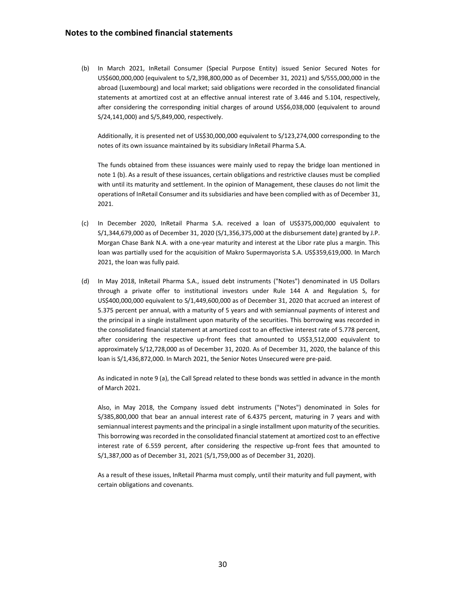(b) In March 2021, InRetail Consumer (Special Purpose Entity) issued Senior Secured Notes for US\$600,000,000 (equivalent to S/2,398,800,000 as of December 31, 2021) and S/555,000,000 in the abroad (Luxembourg) and local market; said obligations were recorded in the consolidated financial statements at amortized cost at an effective annual interest rate of 3.446 and 5.104, respectively, after considering the corresponding initial charges of around US\$6,038,000 (equivalent to around S/24,141,000) and S/5,849,000, respectively.

Additionally, it is presented net of US\$30,000,000 equivalent to S/123,274,000 corresponding to the notes of its own issuance maintained by its subsidiary InRetail Pharma S.A.

The funds obtained from these issuances were mainly used to repay the bridge loan mentioned in note 1 (b). As a result of these issuances, certain obligations and restrictive clauses must be complied with until its maturity and settlement. In the opinion of Management, these clauses do not limit the operations of InRetail Consumer and its subsidiaries and have been complied with as of December 31, 2021.

- (c) In December 2020, InRetail Pharma S.A. received a loan of US\$375,000,000 equivalent to S/1,344,679,000 as of December 31, 2020 (S/1,356,375,000 at the disbursement date) granted by J.P. Morgan Chase Bank N.A. with a one-year maturity and interest at the Libor rate plus a margin. This loan was partially used for the acquisition of Makro Supermayorista S.A. US\$359,619,000. In March 2021, the loan was fully paid.
- (d) In May 2018, InRetail Pharma S.A., issued debt instruments ("Notes") denominated in US Dollars through a private offer to institutional investors under Rule 144 A and Regulation S, for US\$400,000,000 equivalent to S/1,449,600,000 as of December 31, 2020 that accrued an interest of 5.375 percent per annual, with a maturity of 5 years and with semiannual payments of interest and the principal in a single installment upon maturity of the securities. This borrowing was recorded in the consolidated financial statement at amortized cost to an effective interest rate of 5.778 percent, after considering the respective up-front fees that amounted to US\$3,512,000 equivalent to approximately S/12,728,000 as of December 31, 2020. As of December 31, 2020, the balance of this loan is S/1,436,872,000. In March 2021, the Senior Notes Unsecured were pre-paid.

As indicated in note 9 (a), the Call Spread related to these bonds was settled in advance in the month of March 2021.

Also, in May 2018, the Company issued debt instruments ("Notes") denominated in Soles for S/385,800,000 that bear an annual interest rate of 6.4375 percent, maturing in 7 years and with semiannual interest payments and the principal in a single installment upon maturity of the securities. This borrowing was recorded in the consolidated financial statement at amortized cost to an effective interest rate of 6.559 percent, after considering the respective up-front fees that amounted to S/1,387,000 as of December 31, 2021 (S/1,759,000 as of December 31, 2020).

As a result of these issues, InRetail Pharma must comply, until their maturity and full payment, with certain obligations and covenants.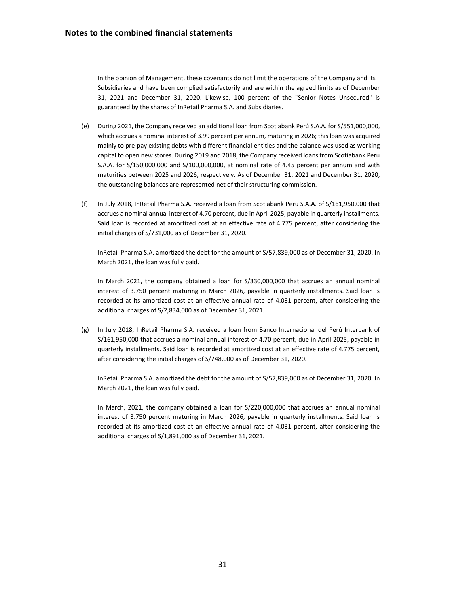In the opinion of Management, these covenants do not limit the operations of the Company and its Subsidiaries and have been complied satisfactorily and are within the agreed limits as of December 31, 2021 and December 31, 2020. Likewise, 100 percent of the "Senior Notes Unsecured" is guaranteed by the shares of InRetail Pharma S.A. and Subsidiaries.

- (e) During 2021, the Company received an additional loan from Scotiabank Perú S.A.A. for S/551,000,000, which accrues a nominal interest of 3.99 percent per annum, maturing in 2026; this loan was acquired mainly to pre-pay existing debts with different financial entities and the balance was used as working capital to open new stores. During 2019 and 2018, the Company received loans from Scotiabank Perú S.A.A. for S/150,000,000 and S/100,000,000, at nominal rate of 4.45 percent per annum and with maturities between 2025 and 2026, respectively. As of December 31, 2021 and December 31, 2020, the outstanding balances are represented net of their structuring commission.
- (f) In July 2018, InRetail Pharma S.A. received a loan from Scotiabank Peru S.A.A. of S/161,950,000 that accrues a nominal annual interest of 4.70 percent, due in April 2025, payable in quarterly installments. Said loan is recorded at amortized cost at an effective rate of 4.775 percent, after considering the initial charges of S/731,000 as of December 31, 2020.

InRetail Pharma S.A. amortized the debt for the amount of S/57,839,000 as of December 31, 2020. In March 2021, the loan was fully paid.

In March 2021, the company obtained a loan for S/330,000,000 that accrues an annual nominal interest of 3.750 percent maturing in March 2026, payable in quarterly installments. Said loan is recorded at its amortized cost at an effective annual rate of 4.031 percent, after considering the additional charges of S/2,834,000 as of December 31, 2021.

(g) In July 2018, InRetail Pharma S.A. received a loan from Banco Internacional del Perú Interbank of S/161,950,000 that accrues a nominal annual interest of 4.70 percent, due in April 2025, payable in quarterly installments. Said loan is recorded at amortized cost at an effective rate of 4.775 percent, after considering the initial charges of S/748,000 as of December 31, 2020.

InRetail Pharma S.A. amortized the debt for the amount of S/57,839,000 as of December 31, 2020. In March 2021, the loan was fully paid.

In March, 2021, the company obtained a loan for S/220,000,000 that accrues an annual nominal interest of 3.750 percent maturing in March 2026, payable in quarterly installments. Said loan is recorded at its amortized cost at an effective annual rate of 4.031 percent, after considering the additional charges of S/1,891,000 as of December 31, 2021.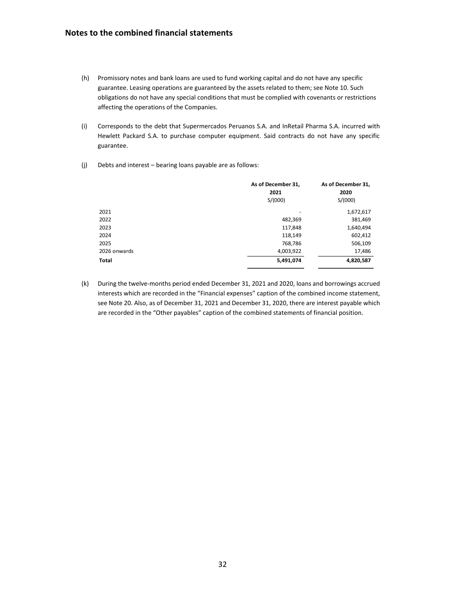## **Notes to the combined financial statements**

- (h) Promissory notes and bank loans are used to fund working capital and do not have any specific guarantee. Leasing operations are guaranteed by the assets related to them; see Note 10. Such obligations do not have any special conditions that must be complied with covenants or restrictions affecting the operations of the Companies.
- (i) Corresponds to the debt that Supermercados Peruanos S.A. and InRetail Pharma S.A. incurred with Hewlett Packard S.A. to purchase computer equipment. Said contracts do not have any specific guarantee.
- (j) Debts and interest bearing loans payable are as follows:

|              | As of December 31,<br>2021<br>S/(000) | As of December 31,<br>2020<br>S/(000) |
|--------------|---------------------------------------|---------------------------------------|
| 2021         | ۰                                     | 1,672,617                             |
| 2022         | 482,369                               | 381,469                               |
| 2023         | 117,848                               | 1,640,494                             |
| 2024         | 118,149                               | 602,412                               |
| 2025         | 768,786                               | 506,109                               |
| 2026 onwards | 4,003,922                             | 17,486                                |
| Total        | 5,491,074                             | 4,820,587                             |

(k) During the twelve-months period ended December 31, 2021 and 2020, loans and borrowings accrued interests which are recorded in the "Financial expenses" caption of the combined income statement, see Note 20. Also, as of December 31, 2021 and December 31, 2020, there are interest payable which are recorded in the "Other payables" caption of the combined statements of financial position.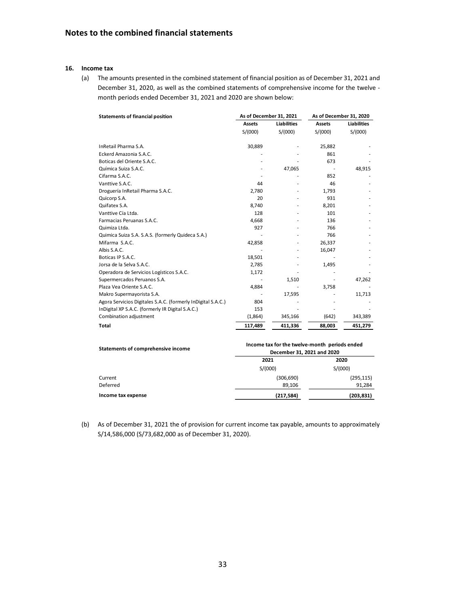#### **16. Income tax**

(a) The amounts presented in the combined statement of financial position as of December 31, 2021 and December 31, 2020, as well as the combined statements of comprehensive income for the twelve month periods ended December 31, 2021 and 2020 are shown below:

| <b>Statements of financial position</b>                      | As of December 31, 2021 |                    | As of December 31, 2020 |                    |  |
|--------------------------------------------------------------|-------------------------|--------------------|-------------------------|--------------------|--|
|                                                              | <b>Assets</b>           | <b>Liabilities</b> | <b>Assets</b>           | <b>Liabilities</b> |  |
|                                                              | S/(000)                 | S/(000)            | S/(000)                 | S/(000)            |  |
| InRetail Pharma S.A.                                         | 30,889                  |                    | 25,882                  |                    |  |
| Eckerd Amazonia S.A.C.                                       |                         |                    | 861                     |                    |  |
| Boticas del Oriente S.A.C.                                   |                         |                    | 673                     |                    |  |
| Química Suiza S.A.C.                                         |                         | 47,065             |                         | 48,915             |  |
| Cifarma S.A.C.                                               |                         |                    | 852                     |                    |  |
| Vanttive S.A.C.                                              | 44                      |                    | 46                      |                    |  |
| Droguería InRetail Pharma S.A.C.                             | 2,780                   |                    | 1,793                   |                    |  |
| Quicorp S.A.                                                 | 20                      |                    | 931                     |                    |  |
| Quifatex S.A.                                                | 8,740                   |                    | 8,201                   |                    |  |
| Vanttive Cía Ltda.                                           | 128                     |                    | 101                     |                    |  |
| Farmacias Peruanas S.A.C.                                    | 4,668                   |                    | 136                     |                    |  |
| Quimiza Ltda.                                                | 927                     |                    | 766                     |                    |  |
| Quimica Suiza S.A. S.A.S. (formerly Quideca S.A.)            |                         |                    | 766                     |                    |  |
| Mifarma S.A.C.                                               | 42,858                  |                    | 26,337                  |                    |  |
| Albis S.A.C.                                                 |                         |                    | 16,047                  |                    |  |
| Boticas IP S.A.C.                                            | 18,501                  |                    |                         |                    |  |
| Jorsa de la Selva S.A.C.                                     | 2,785                   |                    | 1,495                   |                    |  |
| Operadora de Servicios Logísticos S.A.C.                     | 1,172                   |                    |                         |                    |  |
| Supermercados Peruanos S.A.                                  |                         | 1,510              |                         | 47,262             |  |
| Plaza Vea Oriente S.A.C.                                     | 4,884                   |                    | 3,758                   |                    |  |
| Makro Supermayorista S.A.                                    |                         | 17,595             |                         | 11,713             |  |
| Agora Servicios Digitales S.A.C. (formerly InDigital S.A.C.) | 804                     |                    |                         |                    |  |
| InDigital XP S.A.C. (formerly IR Digital S.A.C.)             | 153                     |                    |                         |                    |  |
| Combination adjustment                                       | (1,864)                 | 345,166            | (642)                   | 343,389            |  |
| <b>Total</b>                                                 | 117,489                 | 411,336            | 88,003                  | 451,279            |  |

| Statements of comprehensive income | Income tax for the twelve-month periods ended<br>December 31, 2021 and 2020 |            |  |  |  |
|------------------------------------|-----------------------------------------------------------------------------|------------|--|--|--|
|                                    | 2021                                                                        | 2020       |  |  |  |
|                                    | S/(000)                                                                     | S/(000)    |  |  |  |
| Current                            | (306, 690)                                                                  | (295, 115) |  |  |  |
| Deferred                           | 89.106                                                                      | 91.284     |  |  |  |
| Income tax expense                 | (217, 584)                                                                  | (203, 831) |  |  |  |

(b) As of December 31, 2021 the of provision for current income tax payable, amounts to approximately S/14,586,000 (S/73,682,000 as of December 31, 2020).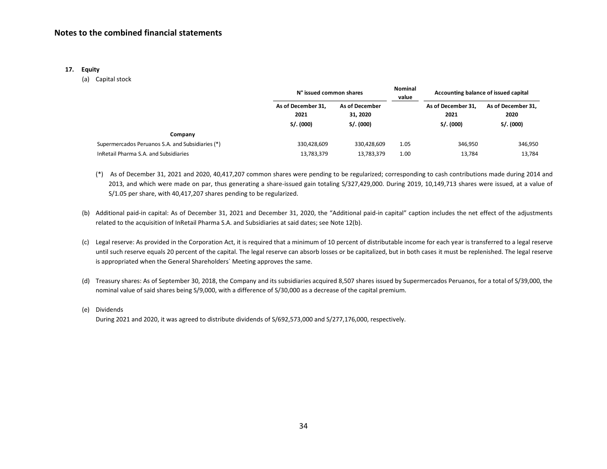#### **17. Equity**

(a) Capital stock

| N° issued common shares    |                                   | <b>Nominal</b><br>value | Accounting balance of issued capital |                                         |  |
|----------------------------|-----------------------------------|-------------------------|--------------------------------------|-----------------------------------------|--|
| As of December 31.<br>2021 | <b>As of December</b><br>31, 2020 |                         | As of December 31.<br>2021           | As of December 31.<br>2020<br>S/. (000) |  |
|                            |                                   |                         |                                      |                                         |  |
| 330,428,609                | 330,428,609                       | 1.05                    | 346,950                              | 346,950                                 |  |
| 13,783,379                 | 13,783,379                        | 1.00                    | 13,784                               | 13,784                                  |  |
|                            | S/. (000)                         | S/. (000)               |                                      | S/. (000)                               |  |

- (\*) As of December 31, 2021 and 2020, 40,417,207 common shares were pending to be regularized; corresponding to cash contributions made during 2014 and 2013, and which were made on par, thus generating a share-issued gain totaling S/327,429,000. During 2019, 10,149,713 shares were issued, at a value of S/1.05 per share, with 40,417,207 shares pending to be regularized.
- (b) Additional paid-in capital: As of December 31, 2021 and December 31, 2020, the "Additional paid-in capital" caption includes the net effect of the adjustments related to the acquisition of InRetail Pharma S.A. and Subsidiaries at said dates; see Note 12(b).
- (c) Legal reserve: As provided in the Corporation Act, it is required that a minimum of 10 percent of distributable income for each year is transferred to a legal reserve until such reserve equals 20 percent of the capital. The legal reserve can absorb losses or be capitalized, but in both cases it must be replenished. The legal reserve is appropriated when the General Shareholders´ Meeting approves the same.
- (d) Treasury shares: As of September 30, 2018, the Company and its subsidiaries acquired 8,507 shares issued by Supermercados Peruanos, for a total of S/39,000, the nominal value of said shares being S/9,000, with a difference of S/30,000 as a decrease of the capital premium.
- (e) Dividends

During 2021 and 2020, it was agreed to distribute dividends of S/692,573,000 and S/277,176,000, respectively.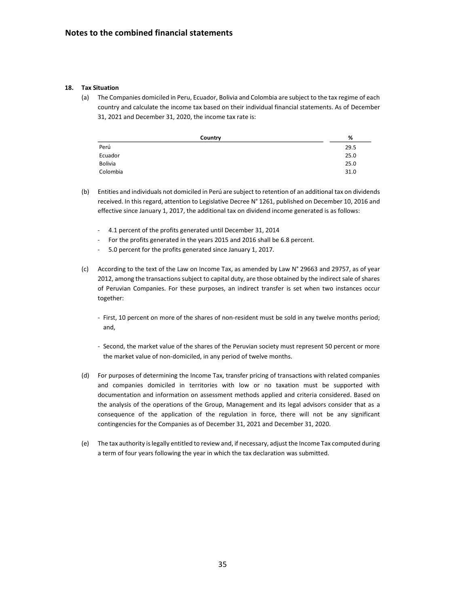#### **18. Tax Situation**

(a) The Companies domiciled in Peru, Ecuador, Bolivia and Colombia are subject to the tax regime of each country and calculate the income tax based on their individual financial statements. As of December 31, 2021 and December 31, 2020, the income tax rate is:

| Country        | %    |
|----------------|------|
| Perú           | 29.5 |
| Ecuador        | 25.0 |
| <b>Bolivia</b> | 25.0 |
| Colombia       | 31.0 |

- (b) Entities and individuals not domiciled in Perú are subject to retention of an additional tax on dividends received. In this regard, attention to Legislative Decree N° 1261, published on December 10, 2016 and effective since January 1, 2017, the additional tax on dividend income generated is as follows:
	- 4.1 percent of the profits generated until December 31, 2014
	- For the profits generated in the years 2015 and 2016 shall be 6.8 percent.
	- 5.0 percent for the profits generated since January 1, 2017.
- (c) According to the text of the Law on Income Tax, as amended by Law N° 29663 and 29757, as of year 2012, among the transactions subject to capital duty, are those obtained by the indirect sale of shares of Peruvian Companies. For these purposes, an indirect transfer is set when two instances occur together:
	- First, 10 percent on more of the shares of non-resident must be sold in any twelve months period; and,
	- Second, the market value of the shares of the Peruvian society must represent 50 percent or more the market value of non-domiciled, in any period of twelve months.
- (d) For purposes of determining the Income Tax, transfer pricing of transactions with related companies and companies domiciled in territories with low or no taxation must be supported with documentation and information on assessment methods applied and criteria considered. Based on the analysis of the operations of the Group, Management and its legal advisors consider that as a consequence of the application of the regulation in force, there will not be any significant contingencies for the Companies as of December 31, 2021 and December 31, 2020.
- (e) The tax authority is legally entitled to review and, if necessary, adjust the Income Tax computed during a term of four years following the year in which the tax declaration was submitted.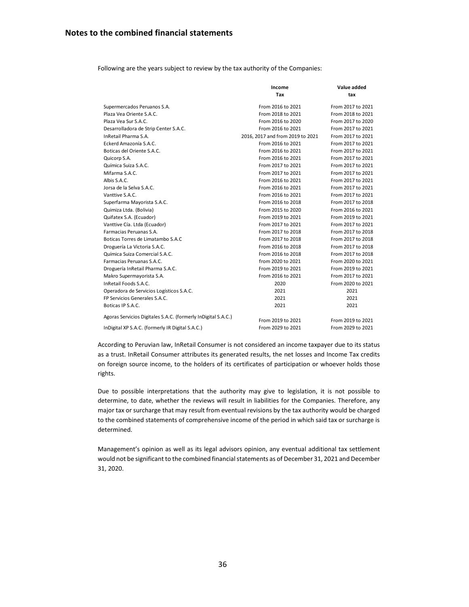Following are the years subject to review by the tax authority of the Companies:

|                                                               | Income                           | Value added       |
|---------------------------------------------------------------|----------------------------------|-------------------|
|                                                               | Tax                              | tax               |
| Supermercados Peruanos S.A.                                   | From 2016 to 2021                | From 2017 to 2021 |
| Plaza Vea Oriente S.A.C.                                      | From 2018 to 2021                | From 2018 to 2021 |
| Plaza Vea Sur S.A.C.                                          | From 2016 to 2020                | From 2017 to 2020 |
| Desarrolladora de Strip Center S.A.C.                         | From 2016 to 2021                | From 2017 to 2021 |
| InRetail Pharma S.A.                                          | 2016, 2017 and from 2019 to 2021 | From 2017 to 2021 |
| Eckerd Amazonía S.A.C.                                        | From 2016 to 2021                | From 2017 to 2021 |
| Boticas del Oriente S.A.C.                                    | From 2016 to 2021                | From 2017 to 2021 |
| Quicorp S.A.                                                  | From 2016 to 2021                | From 2017 to 2021 |
| Química Suiza S.A.C.                                          | From 2017 to 2021                | From 2017 to 2021 |
| Mifarma S.A.C.                                                | From 2017 to 2021                | From 2017 to 2021 |
| Albis S.A.C.                                                  | From 2016 to 2021                | From 2017 to 2021 |
| Jorsa de la Selva S.A.C.                                      | From 2016 to 2021                | From 2017 to 2021 |
| Vanttive S.A.C.                                               | From 2016 to 2021                | From 2017 to 2021 |
| Superfarma Mayorista S.A.C.                                   | From 2016 to 2018                | From 2017 to 2018 |
| Quimiza Ltda. (Bolivia)                                       | From 2015 to 2020                | From 2016 to 2021 |
| Quifatex S.A. (Ecuador)                                       | From 2019 to 2021                | From 2019 to 2021 |
| Vanttive Cía. Ltda (Ecuador)                                  | From 2017 to 2021                | From 2017 to 2021 |
| Farmacias Peruanas S.A.                                       | From 2017 to 2018                | From 2017 to 2018 |
| Boticas Torres de Limatambo S.A.C                             | From 2017 to 2018                | From 2017 to 2018 |
| Droguería La Victoria S.A.C.                                  | From 2016 to 2018                | From 2017 to 2018 |
| Química Suiza Comercial S.A.C.                                | From 2016 to 2018                | From 2017 to 2018 |
| Farmacias Peruanas S.A.C.                                     | from 2020 to 2021                | From 2020 to 2021 |
| Droguería InRetail Pharma S.A.C.                              | From 2019 to 2021                | From 2019 to 2021 |
| Makro Supermayorista S.A.                                     | From 2016 to 2021                | From 2017 to 2021 |
| InRetail Foods S.A.C.                                         | 2020                             | From 2020 to 2021 |
| Operadora de Servicios Logísticos S.A.C.                      | 2021                             | 2021              |
| FP Servicios Generales S.A.C.                                 | 2021                             | 2021              |
| Boticas IP S.A.C.                                             | 2021                             | 2021              |
| Agoras Servicios Digitales S.A.C. (formerly InDigital S.A.C.) | From 2019 to 2021                | From 2019 to 2021 |
| InDigital XP S.A.C. (formerly IR Digital S.A.C.)              | From 2029 to 2021                | From 2029 to 2021 |

According to Peruvian law, InRetail Consumer is not considered an income taxpayer due to its status as a trust. InRetail Consumer attributes its generated results, the net losses and Income Tax credits on foreign source income, to the holders of its certificates of participation or whoever holds those rights.

Due to possible interpretations that the authority may give to legislation, it is not possible to determine, to date, whether the reviews will result in liabilities for the Companies. Therefore, any major tax or surcharge that may result from eventual revisions by the tax authority would be charged to the combined statements of comprehensive income of the period in which said tax or surcharge is determined.

Management's opinion as well as its legal advisors opinion, any eventual additional tax settlement would not be significant to the combined financial statements as of December 31, 2021 and December 31, 2020.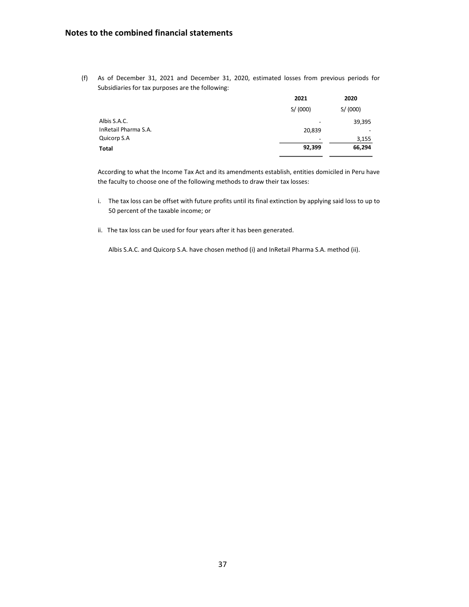## **Notes to the combined financial statements**

(f) As of December 31, 2021 and December 31, 2020, estimated losses from previous periods for Subsidiaries for tax purposes are the following:

| 2021    | 2020                     |
|---------|--------------------------|
| S/(000) | S/(000)                  |
|         | 39,395                   |
| 20,839  | $\overline{\phantom{a}}$ |
|         | 3,155                    |
| 92,399  | 66,294                   |
|         |                          |

According to what the Income Tax Act and its amendments establish, entities domiciled in Peru have the faculty to choose one of the following methods to draw their tax losses:

- i. The tax loss can be offset with future profits until its final extinction by applying said loss to up to 50 percent of the taxable income; or
- ii. The tax loss can be used for four years after it has been generated.

Albis S.A.C. and Quicorp S.A. have chosen method (i) and InRetail Pharma S.A. method (ii).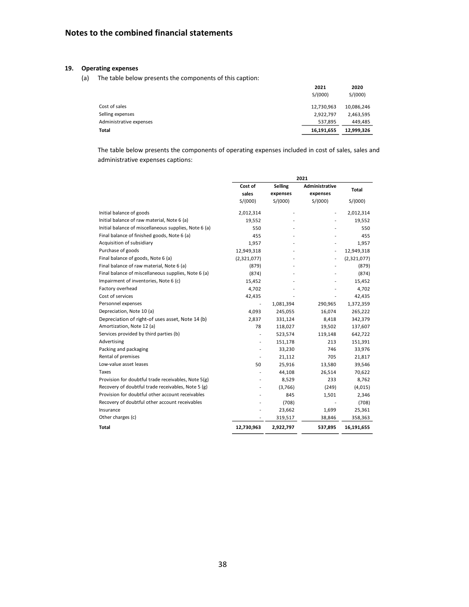## **19. Operating expenses**

(a) The table below presents the components of this caption:

|                         | 2021<br>S/(000) | 2020<br>S/(000) |
|-------------------------|-----------------|-----------------|
| Cost of sales           | 12,730,963      | 10,086,246      |
| Selling expenses        | 2,922,797       | 2,463,595       |
| Administrative expenses | 537,895         | 449,485         |
| Total                   | 16,191,655      | 12,999,326      |

The table below presents the components of operating expenses included in cost of sales, sales and administrative expenses captions:

|                                                       | 2021                                 |                |                              |             |
|-------------------------------------------------------|--------------------------------------|----------------|------------------------------|-------------|
|                                                       | Cost of<br>Selling<br>Administrative |                |                              | Total       |
|                                                       | sales                                | expenses       | expenses                     |             |
|                                                       | S/(000)                              | S/(000)        | S/(000)                      | S/(000)     |
| Initial balance of goods                              | 2,012,314                            | $\overline{a}$ |                              | 2,012,314   |
| Initial balance of raw material, Note 6 (a)           | 19,552                               |                |                              | 19,552      |
| Initial balance of miscellaneous supplies, Note 6 (a) | 550                                  |                |                              | 550         |
| Final balance of finished goods, Note 6 (a)           | 455                                  |                |                              | 455         |
| Acquisition of subsidiary                             | 1,957                                |                |                              | 1,957       |
| Purchase of goods                                     | 12,949,318                           |                | $\qquad \qquad \blacksquare$ | 12,949,318  |
| Final balance of goods, Note 6 (a)                    | (2,321,077)                          |                | ÷                            | (2,321,077) |
| Final balance of raw material, Note 6 (a)             | (879)                                |                |                              | (879)       |
| Final balance of miscellaneous supplies, Note 6 (a)   | (874)                                |                |                              | (874)       |
| Impairment of inventories, Note 6 (c)                 | 15,452                               |                |                              | 15,452      |
| Factory overhead                                      | 4,702                                |                |                              | 4,702       |
| Cost of services                                      | 42,435                               |                |                              | 42,435      |
| Personnel expenses                                    |                                      | 1,081,394      | 290,965                      | 1,372,359   |
| Depreciation, Note 10 (a)                             | 4,093                                | 245,055        | 16,074                       | 265,222     |
| Depreciation of right-of uses asset, Note 14 (b)      | 2,837                                | 331,124        | 8,418                        | 342,379     |
| Amortization, Note 12 (a)                             | 78                                   | 118,027        | 19,502                       | 137,607     |
| Services provided by third parties (b)                |                                      | 523,574        | 119,148                      | 642,722     |
| Advertising                                           |                                      | 151,178        | 213                          | 151,391     |
| Packing and packaging                                 |                                      | 33,230         | 746                          | 33,976      |
| Rental of premises                                    |                                      | 21,112         | 705                          | 21,817      |
| Low-value asset leases                                | 50                                   | 25,916         | 13,580                       | 39,546      |
| Taxes                                                 |                                      | 44,108         | 26,514                       | 70,622      |
| Provision for doubtful trade receivables, Note 5(g)   |                                      | 8,529          | 233                          | 8,762       |
| Recovery of doubtful trade receivables, Note 5 (g)    |                                      | (3,766)        | (249)                        | (4,015)     |
| Provision for doubtful other account receivables      |                                      | 845            | 1,501                        | 2,346       |
| Recovery of doubtful other account receivables        |                                      | (708)          |                              | (708)       |
| Insurance                                             |                                      | 23,662         | 1,699                        | 25,361      |
| Other charges (c)                                     |                                      | 319,517        | 38,846                       | 358,363     |
| Total                                                 | 12,730,963                           | 2,922,797      | 537,895                      | 16,191,655  |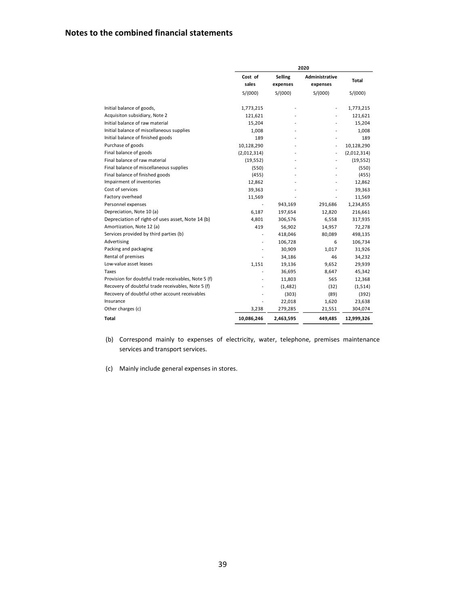|                                                      |                  |                            | 2020                              |              |
|------------------------------------------------------|------------------|----------------------------|-----------------------------------|--------------|
|                                                      | Cost of<br>sales | <b>Selling</b><br>expenses | <b>Administrative</b><br>expenses | <b>Total</b> |
|                                                      | S/(000)          | S/(000)                    | S/(000)                           | S/(000)      |
| Initial balance of goods,                            | 1,773,215        |                            | $\overline{a}$                    | 1,773,215    |
| Acquisiton subsidiary, Note 2                        | 121,621          |                            |                                   | 121,621      |
| Initial balance of raw material                      | 15,204           |                            |                                   | 15,204       |
| Initial balance of miscellaneous supplies            | 1,008            |                            |                                   | 1,008        |
| Initial balance of finished goods                    | 189              | $\overline{a}$             |                                   | 189          |
| Purchase of goods                                    | 10,128,290       |                            | L,                                | 10,128,290   |
| Final balance of goods                               | (2,012,314)      |                            | $\overline{a}$                    | (2,012,314)  |
| Final balance of raw material                        | (19, 552)        |                            |                                   | (19, 552)    |
| Final balance of miscellaneous supplies              | (550)            |                            |                                   | (550)        |
| Final balance of finished goods                      | (455)            |                            |                                   | (455)        |
| Impairment of inventories                            | 12,862           |                            |                                   | 12,862       |
| Cost of services                                     | 39,363           |                            |                                   | 39,363       |
| Factory overhead                                     | 11,569           |                            | $\overline{a}$                    | 11,569       |
| Personnel expenses                                   | ä,               | 943,169                    | 291,686                           | 1,234,855    |
| Depreciation, Note 10 (a)                            | 6,187            | 197,654                    | 12,820                            | 216,661      |
| Depreciation of right-of uses asset, Note 14 (b)     | 4,801            | 306,576                    | 6,558                             | 317,935      |
| Amortization, Note 12 (a)                            | 419              | 56,902                     | 14,957                            | 72,278       |
| Services provided by third parties (b)               |                  | 418,046                    | 80,089                            | 498,135      |
| Advertising                                          |                  | 106,728                    | 6                                 | 106,734      |
| Packing and packaging                                |                  | 30,909                     | 1,017                             | 31,926       |
| Rental of premises                                   |                  | 34,186                     | 46                                | 34,232       |
| Low-value asset leases                               | 1,151            | 19,136                     | 9,652                             | 29,939       |
| Taxes                                                |                  | 36,695                     | 8,647                             | 45,342       |
| Provision for doubtful trade receivables, Note 5 (f) |                  | 11,803                     | 565                               | 12,368       |
| Recovery of doubtful trade receivables, Note 5 (f)   |                  | (1, 482)                   | (32)                              | (1,514)      |
| Recovery of doubtful other account receivables       |                  | (303)                      | (89)                              | (392)        |
| Insurance                                            |                  | 22,018                     | 1,620                             | 23,638       |
| Other charges (c)                                    | 3,238            | 279,285                    | 21,551                            | 304,074      |
| Total                                                | 10,086,246       | 2,463,595                  | 449,485                           | 12,999,326   |

- (b) Correspond mainly to expenses of electricity, water, telephone, premises maintenance services and transport services.
- (c) Mainly include general expenses in stores.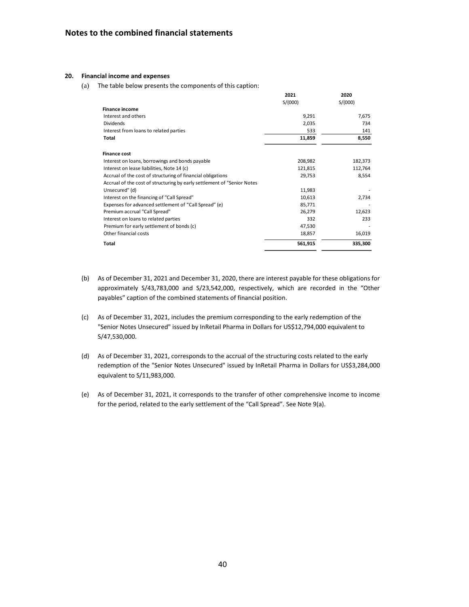#### **20. Financial income and expenses**

(a) The table below presents the components of this caption:

|                                                                         | 2021    | 2020    |
|-------------------------------------------------------------------------|---------|---------|
|                                                                         | S/(000) | S/(000) |
| <b>Finance income</b>                                                   |         |         |
| Interest and others                                                     | 9,291   | 7,675   |
| <b>Dividends</b>                                                        | 2,035   | 734     |
| Interest from loans to related parties                                  | 533     | 141     |
| Total                                                                   | 11,859  | 8,550   |
| <b>Finance cost</b>                                                     |         |         |
| Interest on loans, borrowings and bonds payable                         | 208,982 | 182,373 |
| Interest on lease liabilities, Note 14 (c)                              | 121,815 | 112,764 |
| Accrual of the cost of structuring of financial obligations             | 29,753  | 8,554   |
| Accrual of the cost of structuring by early settlement of "Senior Notes |         |         |
| Unsecured" (d)                                                          | 11,983  |         |
| Interest on the financing of "Call Spread"                              | 10,613  | 2,734   |
| Expenses for advanced settlement of "Call Spread" (e)                   | 85,771  |         |
| Premium accrual "Call Spread"                                           | 26,279  | 12,623  |
| Interest on loans to related parties                                    | 332     | 233     |
| Premium for early settlement of bonds (c)                               | 47,530  |         |
| Other financial costs                                                   | 18,857  | 16,019  |
| Total                                                                   | 561,915 | 335,300 |

- (b) As of December 31, 2021 and December 31, 2020, there are interest payable for these obligations for approximately S/43,783,000 and S/23,542,000, respectively, which are recorded in the "Other payables" caption of the combined statements of financial position.
- (c) As of December 31, 2021, includes the premium corresponding to the early redemption of the "Senior Notes Unsecured" issued by InRetail Pharma in Dollars for US\$12,794,000 equivalent to S/47,530,000.
- (d) As of December 31, 2021, corresponds to the accrual of the structuring costs related to the early redemption of the "Senior Notes Unsecured" issued by InRetail Pharma in Dollars for US\$3,284,000 equivalent to S/11,983,000.
- (e) As of December 31, 2021, it corresponds to the transfer of other comprehensive income to income for the period, related to the early settlement of the "Call Spread". See Note 9(a).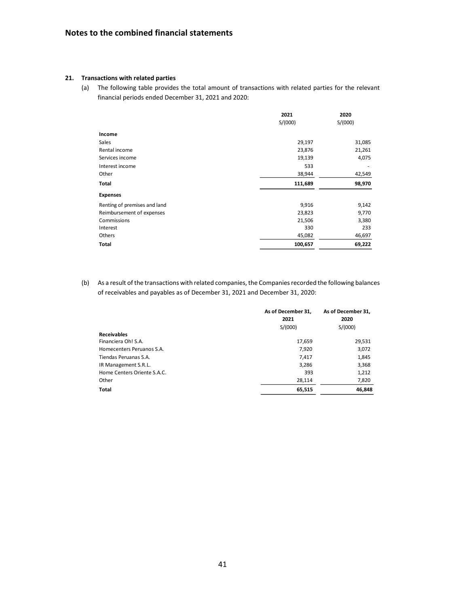#### **21. Transactions with related parties**

(a) The following table provides the total amount of transactions with related parties for the relevant financial periods ended December 31, 2021 and 2020:

|                              | 2021<br>S/(000) | 2020<br>S/(000) |
|------------------------------|-----------------|-----------------|
| Income                       |                 |                 |
| Sales                        | 29,197          | 31,085          |
| Rental income                | 23,876          | 21,261          |
| Services income              | 19,139          | 4,075           |
| Interest income              | 533             |                 |
| Other                        | 38,944          | 42,549          |
| Total                        | 111,689         | 98,970          |
| <b>Expenses</b>              |                 |                 |
| Renting of premises and land | 9,916           | 9,142           |
| Reimbursement of expenses    | 23,823          | 9,770           |
| Commissions                  | 21,506          | 3,380           |
| Interest                     | 330             | 233             |
| Others                       | 45,082          | 46,697          |
| Total                        | 100,657         | 69,222          |

(b) As a result of the transactions with related companies, the Companies recorded the following balances of receivables and payables as of December 31, 2021 and December 31, 2020:

|                             | As of December 31,<br>2021<br>S/(000) | As of December 31,<br>2020<br>S/(000) |
|-----------------------------|---------------------------------------|---------------------------------------|
| <b>Receivables</b>          |                                       |                                       |
| Financiera Oh! S.A.         | 17,659                                | 29,531                                |
| Homecenters Peruanos S.A.   | 7,920                                 | 3,072                                 |
| Tiendas Peruanas S.A.       | 7,417                                 | 1,845                                 |
| IR Management S.R.L.        | 3,286                                 | 3,368                                 |
| Home Centers Oriente S.A.C. | 393                                   | 1,212                                 |
| Other                       | 28,114                                | 7,820                                 |
| <b>Total</b>                | 65,515                                | 46,848                                |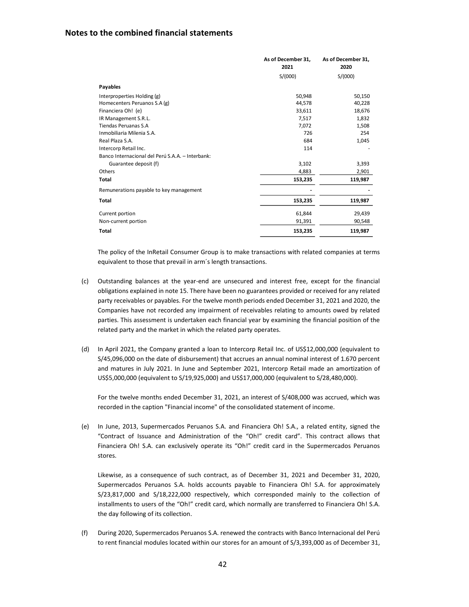## **Notes to the combined financial statements**

|                                                  | As of December 31,<br>2021 | As of December 31,<br>2020 |
|--------------------------------------------------|----------------------------|----------------------------|
|                                                  | S/(000)                    | S/(000)                    |
| Payables                                         |                            |                            |
| Interproperties Holding (g)                      | 50,948                     | 50,150                     |
| Homecenters Peruanos S.A (g)                     | 44.578                     | 40,228                     |
| Financiera Oh! (e)                               | 33,611                     | 18,676                     |
| IR Management S.R.L.                             | 7,517                      | 1,832                      |
| <b>Tiendas Peruanas S.A</b>                      | 7,072                      | 1,508                      |
| Inmobiliaria Milenia S.A.                        | 726                        | 254                        |
| Real Plaza S.A.                                  | 684                        | 1,045                      |
| Intercorp Retail Inc.                            | 114                        |                            |
| Banco Internacional del Perú S.A.A. - Interbank: |                            |                            |
| Guarantee deposit (f)                            | 3,102                      | 3,393                      |
| Others                                           | 4,883                      | 2,901                      |
| <b>Total</b>                                     | 153,235                    | 119,987                    |
| Remunerations payable to key management          |                            |                            |
| <b>Total</b>                                     | 153,235                    | 119,987                    |
| Current portion                                  | 61,844                     | 29,439                     |
| Non-current portion                              | 91,391                     | 90,548                     |
| <b>Total</b>                                     | 153,235                    | 119,987                    |

The policy of the InRetail Consumer Group is to make transactions with related companies at terms equivalent to those that prevail in arm´s length transactions.

- (c) Outstanding balances at the year-end are unsecured and interest free, except for the financial obligations explained in note 15. There have been no guarantees provided or received for any related party receivables or payables. For the twelve month periods ended December 31, 2021 and 2020, the Companies have not recorded any impairment of receivables relating to amounts owed by related parties. This assessment is undertaken each financial year by examining the financial position of the related party and the market in which the related party operates.
- (d) In April 2021, the Company granted a loan to Intercorp Retail Inc. of US\$12,000,000 (equivalent to S/45,096,000 on the date of disbursement) that accrues an annual nominal interest of 1.670 percent and matures in July 2021. In June and September 2021, Intercorp Retail made an amortization of US\$5,000,000 (equivalent to S/19,925,000) and US\$17,000,000 (equivalent to S/28,480,000).

For the twelve months ended December 31, 2021, an interest of S/408,000 was accrued, which was recorded in the caption "Financial income" of the consolidated statement of income.

(e) In June, 2013, Supermercados Peruanos S.A. and Financiera Oh! S.A., a related entity, signed the "Contract of Issuance and Administration of the "Oh!" credit card". This contract allows that Financiera Oh! S.A. can exclusively operate its "Oh!" credit card in the Supermercados Peruanos stores.

Likewise, as a consequence of such contract, as of December 31, 2021 and December 31, 2020, Supermercados Peruanos S.A. holds accounts payable to Financiera Oh! S.A. for approximately S/23,817,000 and S/18,222,000 respectively, which corresponded mainly to the collection of installments to users of the "Oh!" credit card, which normally are transferred to Financiera Oh! S.A. the day following of its collection.

(f) During 2020, Supermercados Peruanos S.A. renewed the contracts with Banco Internacional del Perú to rent financial modules located within our stores for an amount of S/3,393,000 as of December 31,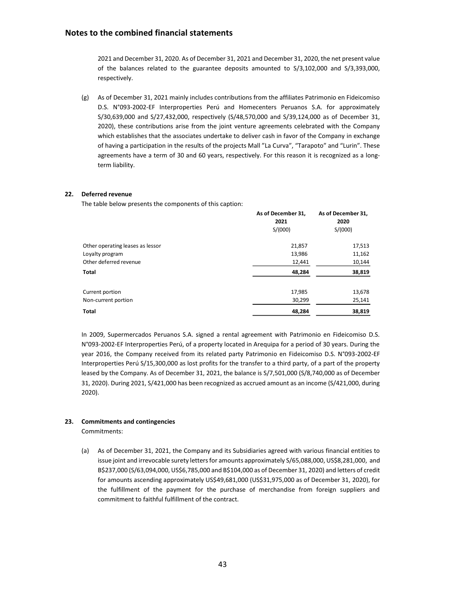## **Notes to the combined financial statements**

2021 and December 31, 2020. As of December 31, 2021 and December 31, 2020, the net present value of the balances related to the guarantee deposits amounted to S/3,102,000 and S/3,393,000, respectively.

(g) As of December 31, 2021 mainly includes contributions from the affiliates Patrimonio en Fideicomiso D.S. N°093-2002-EF Interproperties Perú and Homecenters Peruanos S.A. for approximately S/30,639,000 and S/27,432,000, respectively (S/48,570,000 and S/39,124,000 as of December 31, 2020), these contributions arise from the joint venture agreements celebrated with the Company which establishes that the associates undertake to deliver cash in favor of the Company in exchange of having a participation in the results of the projects Mall "La Curva", "Tarapoto" and "Lurin". These agreements have a term of 30 and 60 years, respectively. For this reason it is recognized as a longterm liability.

#### **22. Deferred revenue**

The table below presents the components of this caption:

|                                  | As of December 31,<br>2021<br>S/(000) | As of December 31,<br>2020<br>S/(000) |  |  |
|----------------------------------|---------------------------------------|---------------------------------------|--|--|
| Other operating leases as lessor | 21,857                                | 17,513                                |  |  |
| Loyalty program                  | 13,986                                | 11,162                                |  |  |
| Other deferred revenue           | 12,441                                | 10,144                                |  |  |
| Total                            | 48,284                                | 38,819                                |  |  |
| Current portion                  | 17,985                                | 13,678                                |  |  |
| Non-current portion              | 30,299                                | 25,141                                |  |  |
| Total                            | 48,284                                | 38,819                                |  |  |
|                                  |                                       |                                       |  |  |

In 2009, Supermercados Peruanos S.A. signed a rental agreement with Patrimonio en Fideicomiso D.S. N°093-2002-EF Interproperties Perú, of a property located in Arequipa for a period of 30 years. During the year 2016, the Company received from its related party Patrimonio en Fideicomiso D.S. N°093-2002-EF Interproperties Perú S/15,300,000 as lost profits for the transfer to a third party, of a part of the property leased by the Company. As of December 31, 2021, the balance is S/7,501,000 (S/8,740,000 as of December 31, 2020). During 2021, S/421,000 has been recognized as accrued amount as an income (S/421,000, during 2020).

#### **23. Commitments and contingencies**

Commitments:

(a) As of December 31, 2021, the Company and its Subsidiaries agreed with various financial entities to issue joint and irrevocable surety letters for amounts approximately S/65,088,000, US\$8,281,000, and B\$237,000 (S/63,094,000, US\$6,785,000 and B\$104,000 as of December 31, 2020) and letters of credit for amounts ascending approximately US\$49,681,000 (US\$31,975,000 as of December 31, 2020), for the fulfillment of the payment for the purchase of merchandise from foreign suppliers and commitment to faithful fulfillment of the contract.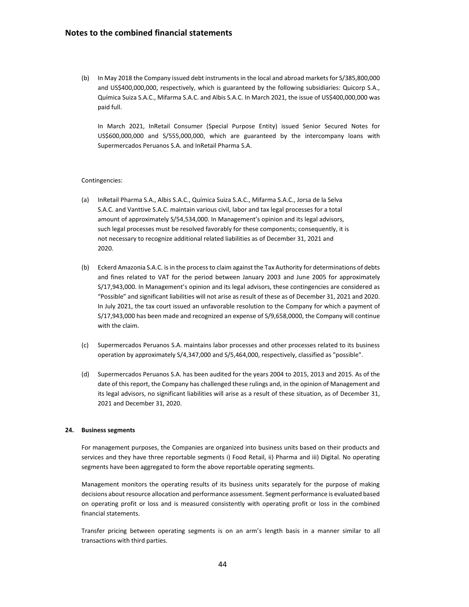(b) In May 2018 the Company issued debt instruments in the local and abroad markets for S/385,800,000 and US\$400,000,000, respectively, which is guaranteed by the following subsidiaries: Quicorp S.A., Química Suiza S.A.C., Mifarma S.A.C. and Albis S.A.C. In March 2021, the issue of US\$400,000,000 was paid full.

In March 2021, InRetail Consumer (Special Purpose Entity) issued Senior Secured Notes for US\$600,000,000 and S/555,000,000, which are guaranteed by the intercompany loans with Supermercados Peruanos S.A. and InRetail Pharma S.A.

#### Contingencies:

- (a) InRetail Pharma S.A., Albis S.A.C., Química Suiza S.A.C., Mifarma S.A.C., Jorsa de la Selva S.A.C. and Vanttive S.A.C. maintain various civil, labor and tax legal processes for a total amount of approximately S/54,534,000. In Management's opinion and its legal advisors, such legal processes must be resolved favorably for these components; consequently, it is not necessary to recognize additional related liabilities as of December 31, 2021 and 2020.
- (b) Eckerd Amazonia S.A.C. is in the process to claim against the Tax Authority for determinations of debts and fines related to VAT for the period between January 2003 and June 2005 for approximately S/17,943,000. In Management's opinion and its legal advisors, these contingencies are considered as "Possible" and significant liabilities will not arise as result of these as of December 31, 2021 and 2020. In July 2021, the tax court issued an unfavorable resolution to the Company for which a payment of S/17,943,000 has been made and recognized an expense of S/9,658,0000, the Company will continue with the claim.
- (c) Supermercados Peruanos S.A. maintains labor processes and other processes related to its business operation by approximately S/4,347,000 and S/5,464,000, respectively, classified as "possible".
- (d) Supermercados Peruanos S.A. has been audited for the years 2004 to 2015, 2013 and 2015. As of the date of this report, the Company has challenged these rulings and, in the opinion of Management and its legal advisors, no significant liabilities will arise as a result of these situation, as of December 31, 2021 and December 31, 2020.

#### **24. Business segments**

For management purposes, the Companies are organized into business units based on their products and services and they have three reportable segments i) Food Retail, ii) Pharma and iii) Digital. No operating segments have been aggregated to form the above reportable operating segments.

Management monitors the operating results of its business units separately for the purpose of making decisions about resource allocation and performance assessment. Segment performance is evaluated based on operating profit or loss and is measured consistently with operating profit or loss in the combined financial statements.

Transfer pricing between operating segments is on an arm's length basis in a manner similar to all transactions with third parties.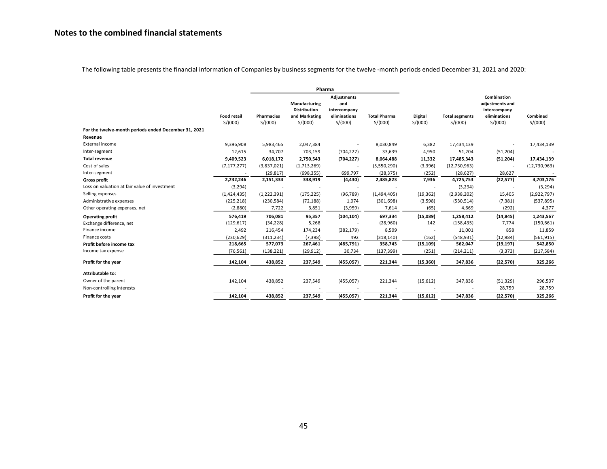The following table presents the financial information of Companies by business segments for the twelve -month periods ended December 31, 2021 and 2020:

|                                                      |                               | Pharma                       |                                                                  |                                                                      |                                |                           |                                  |                                                                           |                     |
|------------------------------------------------------|-------------------------------|------------------------------|------------------------------------------------------------------|----------------------------------------------------------------------|--------------------------------|---------------------------|----------------------------------|---------------------------------------------------------------------------|---------------------|
|                                                      | <b>Food retail</b><br>S/(000) | <b>Pharmacies</b><br>S/(000) | Manufacturing<br><b>Distribution</b><br>and Marketing<br>S/(000) | <b>Adjustments</b><br>and<br>intercompany<br>eliminations<br>S/(000) | <b>Total Pharma</b><br>S/(000) | <b>Digital</b><br>S/(000) | <b>Total segments</b><br>S/(000) | Combination<br>adjustments and<br>intercompany<br>eliminations<br>S/(000) | Combined<br>S/(000) |
| For the twelve-month periods ended December 31, 2021 |                               |                              |                                                                  |                                                                      |                                |                           |                                  |                                                                           |                     |
| Revenue                                              |                               |                              |                                                                  |                                                                      |                                |                           |                                  |                                                                           |                     |
| External income                                      | 9,396,908                     | 5,983,465                    | 2,047,384                                                        |                                                                      | 8,030,849                      | 6,382                     | 17,434,139                       |                                                                           | 17,434,139          |
| Inter-segment                                        | 12,615                        | 34,707                       | 703,159                                                          | (704, 227)                                                           | 33,639                         | 4,950                     | 51,204                           | (51, 204)                                                                 |                     |
| <b>Total revenue</b>                                 | 9,409,523                     | 6,018,172                    | 2,750,543                                                        | (704, 227)                                                           | 8,064,488                      | 11,332                    | 17,485,343                       | (51, 204)                                                                 | 17,434,139          |
| Cost of sales                                        | (7, 177, 277)                 | (3,837,021)                  | (1,713,269)                                                      |                                                                      | (5,550,290)                    | (3,396)                   | (12,730,963)                     |                                                                           | (12,730,963)        |
| Inter-segment                                        |                               | (29, 817)                    | (698, 355)                                                       | 699,797                                                              | (28, 375)                      | (252)                     | (28, 627)                        | 28,627                                                                    |                     |
| Gross profit                                         | 2,232,246                     | 2,151,334                    | 338,919                                                          | (4, 430)                                                             | 2,485,823                      | 7,936                     | 4,725,753                        | (22, 577)                                                                 | 4,703,176           |
| Loss on valuation at fair value of investment        | (3, 294)                      |                              |                                                                  |                                                                      |                                | $\overline{\phantom{a}}$  | (3, 294)                         |                                                                           | (3, 294)            |
| Selling expenses                                     | (1,424,435)                   | (1,222,391)                  | (175, 225)                                                       | (96, 789)                                                            | (1,494,405)                    | (19, 362)                 | (2,938,202)                      | 15,405                                                                    | (2,922,797)         |
| Administrative expenses                              | (225, 218)                    | (230, 584)                   | (72, 188)                                                        | 1,074                                                                | (301, 698)                     | (3,598)                   | (530, 514)                       | (7, 381)                                                                  | (537, 895)          |
| Other operating expenses, net                        | (2,880)                       | 7,722                        | 3,851                                                            | (3,959)                                                              | 7,614                          | (65)                      | 4,669                            | (292)                                                                     | 4,377               |
| <b>Operating profit</b>                              | 576,419                       | 706,081                      | 95,357                                                           | (104, 104)                                                           | 697,334                        | (15,089)                  | 1,258,412                        | (14, 845)                                                                 | 1,243,567           |
| Exchange difference, net                             | (129, 617)                    | (34, 228)                    | 5,268                                                            |                                                                      | (28, 960)                      | 142                       | (158, 435)                       | 7,774                                                                     | (150, 661)          |
| Finance income                                       | 2,492                         | 216,454                      | 174,234                                                          | (382, 179)                                                           | 8,509                          |                           | 11,001                           | 858                                                                       | 11,859              |
| Finance costs                                        | (230, 629)                    | (311, 234)                   | (7, 398)                                                         | 492                                                                  | (318, 140)                     | (162)                     | (548, 931)                       | (12, 984)                                                                 | (561, 915)          |
| Profit before income tax                             | 218,665                       | 577,073                      | 267,461                                                          | (485, 791)                                                           | 358,743                        | (15, 109)                 | 562,047                          | (19, 197)                                                                 | 542,850             |
| Income tax expense                                   | (76, 561)                     | (138, 221)                   | (29, 912)                                                        | 30,734                                                               | (137, 399)                     | (251)                     | (214, 211)                       | (3, 373)                                                                  | (217, 584)          |
| Profit for the year                                  | 142,104                       | 438,852                      | 237,549                                                          | (455, 057)                                                           | 221,344                        | (15, 360)                 | 347,836                          | (22,570)                                                                  | 325,266             |
| Attributable to:                                     |                               |                              |                                                                  |                                                                      |                                |                           |                                  |                                                                           |                     |
| Owner of the parent                                  | 142,104                       | 438,852                      | 237,549                                                          | (455, 057)                                                           | 221,344                        | (15, 612)                 | 347,836                          | (51, 329)                                                                 | 296,507             |
| Non-controlling interests                            |                               |                              |                                                                  |                                                                      |                                |                           |                                  | 28,759                                                                    | 28,759              |
| Profit for the year                                  | 142,104                       | 438,852                      | 237,549                                                          | (455, 057)                                                           | 221,344                        | (15, 612)                 | 347,836                          | (22, 570)                                                                 | 325,266             |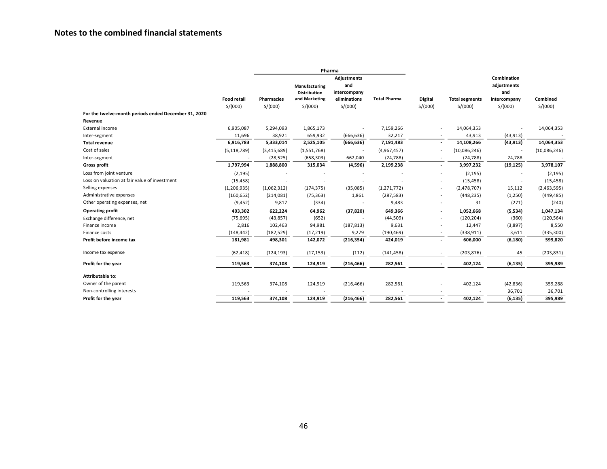|                                                      |                    |                   |               | Pharma                   |                     |                          |                       |              |              |
|------------------------------------------------------|--------------------|-------------------|---------------|--------------------------|---------------------|--------------------------|-----------------------|--------------|--------------|
|                                                      |                    |                   |               | Adjustments              |                     |                          |                       | Combination  |              |
|                                                      |                    |                   | Manufacturing | and                      |                     |                          |                       | adjustments  |              |
|                                                      |                    |                   | Distribution  | intercompany             |                     |                          |                       | and          |              |
|                                                      | <b>Food retail</b> | <b>Pharmacies</b> | and Marketing | eliminations             | <b>Total Pharma</b> | <b>Digital</b>           | <b>Total segments</b> | intercompany | Combined     |
|                                                      | S/(000)            | S/(000)           | S/(000)       | S/(000)                  |                     | S/(000)                  | S/(000)               | S/(000)      | S/(000)      |
| For the twelve-month periods ended December 31, 2020 |                    |                   |               |                          |                     |                          |                       |              |              |
| Revenue                                              |                    |                   |               |                          |                     |                          |                       |              |              |
| External income                                      | 6,905,087          | 5,294,093         | 1,865,173     |                          | 7,159,266           |                          | 14,064,353            |              | 14,064,353   |
| Inter-segment                                        | 11,696             | 38,921            | 659,932       | (666, 636)               | 32,217              |                          | 43,913                | (43, 913)    |              |
| <b>Total revenue</b>                                 | 6,916,783          | 5,333,014         | 2,525,105     | (666, 636)               | 7,191,483           | $\sim$                   | 14,108,266            | (43, 913)    | 14,064,353   |
| Cost of sales                                        | (5, 118, 789)      | (3,415,689)       | (1,551,768)   | $\overline{\phantom{a}}$ | (4,967,457)         |                          | (10,086,246)          |              | (10,086,246) |
| Inter-segment                                        |                    | (28, 525)         | (658, 303)    | 662,040                  | (24, 788)           |                          | (24, 788)             | 24,788       |              |
| <b>Gross profit</b>                                  | 1,797,994          | 1,888,800         | 315,034       | (4,596)                  | 2,199,238           |                          | 3,997,232             | (19, 125)    | 3,978,107    |
| Loss from joint venture                              | (2, 195)           |                   |               |                          |                     |                          | (2, 195)              |              | (2, 195)     |
| Loss on valuation at fair value of investment        | (15, 458)          |                   |               |                          |                     |                          | (15, 458)             |              | (15, 458)    |
| Selling expenses                                     | (1, 206, 935)      | (1,062,312)       | (174, 375)    | (35,085)                 | (1, 271, 772)       | $\sim$                   | (2,478,707)           | 15,112       | (2,463,595)  |
| Administrative expenses                              | (160, 652)         | (214,081)         | (75, 363)     | 1,861                    | (287, 583)          |                          | (448, 235)            | (1,250)      | (449, 485)   |
| Other operating expenses, net                        | (9, 452)           | 9,817             | (334)         |                          | 9,483               |                          | 31                    | (271)        | (240)        |
| <b>Operating profit</b>                              | 403,302            | 622,224           | 64,962        | (37, 820)                | 649,366             | $\overline{\phantom{a}}$ | 1,052,668             | (5,534)      | 1,047,134    |
| Exchange difference, net                             | (75, 695)          | (43, 857)         | (652)         |                          | (44,509)            |                          | (120, 204)            | (360)        | (120, 564)   |
| Finance income                                       | 2,816              | 102,463           | 94,981        | (187, 813)               | 9,631               |                          | 12,447                | (3,897)      | 8,550        |
| Finance costs                                        | (148, 442)         | (182, 529)        | (17, 219)     | 9,279                    | (190, 469)          |                          | (338, 911)            | 3,611        | (335, 300)   |
| Profit before income tax                             | 181,981            | 498,301           | 142,072       | (216, 354)               | 424,019             |                          | 606,000               | (6, 180)     | 599,820      |
| Income tax expense                                   | (62, 418)          | (124, 193)        | (17, 153)     | (112)                    | (141, 458)          |                          | (203, 876)            | 45           | (203, 831)   |
| Profit for the year                                  | 119,563            | 374,108           | 124,919       | (216, 466)               | 282,561             |                          | 402,124               | (6, 135)     | 395,989      |
| Attributable to:                                     |                    |                   |               |                          |                     |                          |                       |              |              |
| Owner of the parent                                  | 119,563            | 374,108           | 124,919       | (216, 466)               | 282,561             |                          | 402,124               | (42, 836)    | 359,288      |
| Non-controlling interests                            |                    |                   |               |                          |                     |                          |                       | 36,701       | 36,701       |
| Profit for the year                                  | 119.563            | 374,108           | 124,919       |                          | 282,561             |                          |                       |              |              |
|                                                      |                    |                   |               | (216, 466)               |                     |                          | 402,124               | (6, 135)     | 395,989      |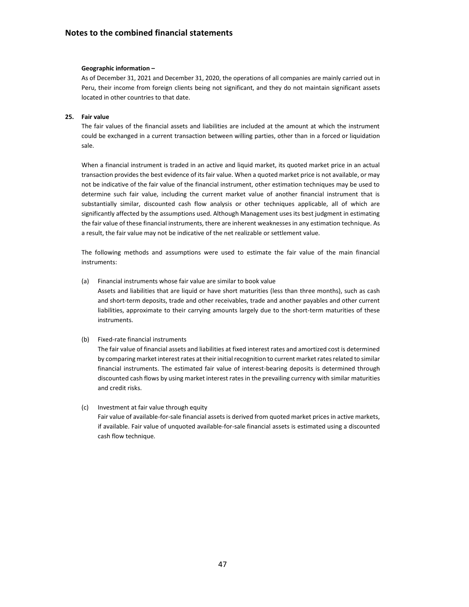#### **Geographic information –**

As of December 31, 2021 and December 31, 2020, the operations of all companies are mainly carried out in Peru, their income from foreign clients being not significant, and they do not maintain significant assets located in other countries to that date.

#### **25. Fair value**

The fair values of the financial assets and liabilities are included at the amount at which the instrument could be exchanged in a current transaction between willing parties, other than in a forced or liquidation sale.

When a financial instrument is traded in an active and liquid market, its quoted market price in an actual transaction provides the best evidence of its fair value. When a quoted market price is not available, or may not be indicative of the fair value of the financial instrument, other estimation techniques may be used to determine such fair value, including the current market value of another financial instrument that is substantially similar, discounted cash flow analysis or other techniques applicable, all of which are significantly affected by the assumptions used. Although Management uses its best judgment in estimating the fair value of these financial instruments, there are inherent weaknesses in any estimation technique. As a result, the fair value may not be indicative of the net realizable or settlement value.

The following methods and assumptions were used to estimate the fair value of the main financial instruments:

(a) Financial instruments whose fair value are similar to book value

Assets and liabilities that are liquid or have short maturities (less than three months), such as cash and short-term deposits, trade and other receivables, trade and another payables and other current liabilities, approximate to their carrying amounts largely due to the short-term maturities of these instruments.

#### (b) Fixed-rate financial instruments

The fair value of financial assets and liabilities at fixed interest rates and amortized cost is determined by comparing market interest rates at their initial recognition to current market rates related to similar financial instruments. The estimated fair value of interest-bearing deposits is determined through discounted cash flows by using market interest rates in the prevailing currency with similar maturities and credit risks.

### (c) Investment at fair value through equity

Fair value of available-for-sale financial assets is derived from quoted market prices in active markets, if available. Fair value of unquoted available-for-sale financial assets is estimated using a discounted cash flow technique.